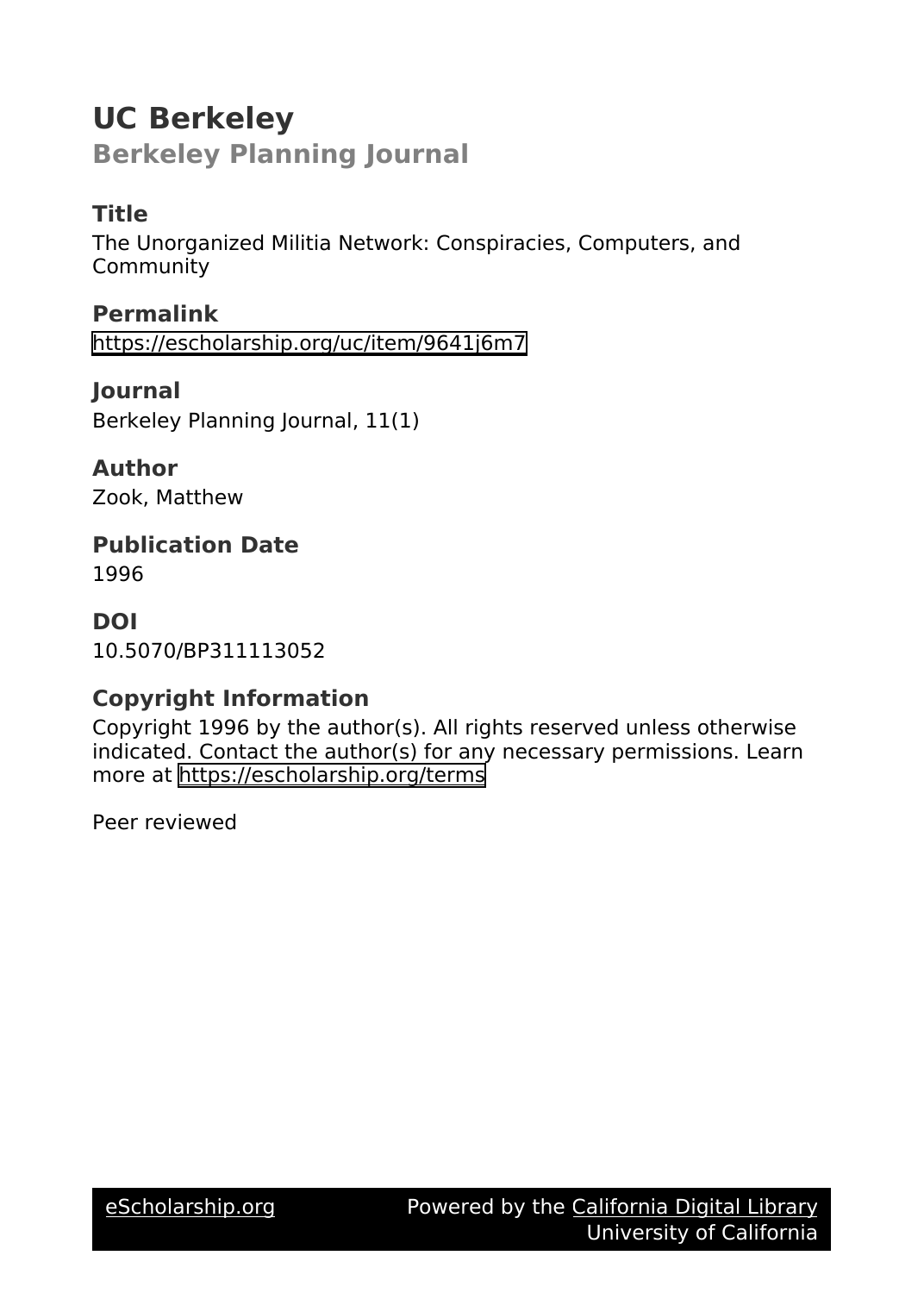# **UC Berkeley**

**Berkeley Planning Journal**

## **Title**

The Unorganized Militia Network: Conspiracies, Computers, and Community

**Permalink** <https://escholarship.org/uc/item/9641j6m7>

**Journal** Berkeley Planning Journal, 11(1)

**Author** Zook, Matthew

**Publication Date** 1996

**DOI** 10.5070/BP311113052

## **Copyright Information**

Copyright 1996 by the author(s). All rights reserved unless otherwise indicated. Contact the author(s) for any necessary permissions. Learn more at <https://escholarship.org/terms>

Peer reviewed

[eScholarship.org](https://escholarship.org) **Powered by the [California Digital Library](http://www.cdlib.org/)** University of California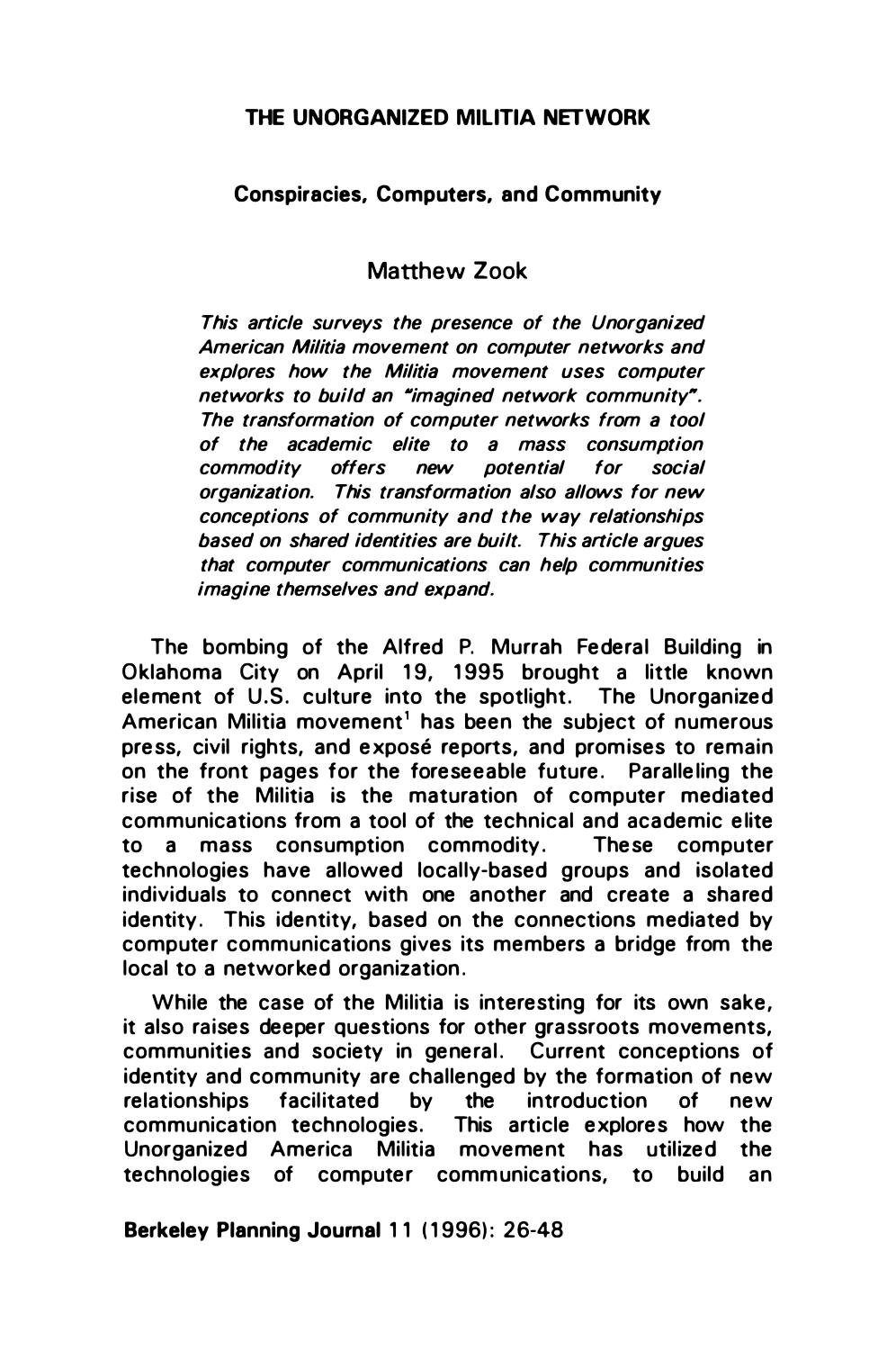#### THE UNORGANIZED MILITIA NETWORK

#### Conspiracies, Computers. and Community

## Matthew Zook

This article surveys the presence of the Unorganized American Militia movement on computer networks and explores how the Militia movement uses computer networks to build an "imagined network community". The transformation of computer networks from a tool of the academic elite to a mass consumption commodity offers new potential for social organization. This transformation also allows for new conceptions of community and the way relationships based on shared identities are built. This article argues that computer communications can help communities imagine themselves and expand.

The bombing of the Alfred P. Murrah Federal Building in Oklahoma City on April 19, 1995 brought a little known element of U.S. culture into the spotlight. The Unorganized American Militia movement<sup>1</sup> has been the subject of numerous press, civil rights, and exposé reports, and promises to remain on the front pages for the foreseeable future. Paralleling the rise of the Militia is the maturation of computer mediated communications from a tool of the technical and academic elite to a mass consumption commodity. These computer technologies have allowed locally-based groups and isolated individuals to connect with one another and create a shared identity. This identity, based on the connections mediated by computer communications gives its members a bridge from the local to a networked organization.

While the case of the Militia is interesting for its own sake, it also raises deeper questions for other grassroots movements, communities and society in general. Current conceptions of identity and community are challenged by the formation of new relationships facilitated by the introduction of new communication technologies. This article explores how the Unorganized America Militia movement has utilized the technologies of computer communications, to build an

Berkeley Planning Journal 11 (1996): 26-48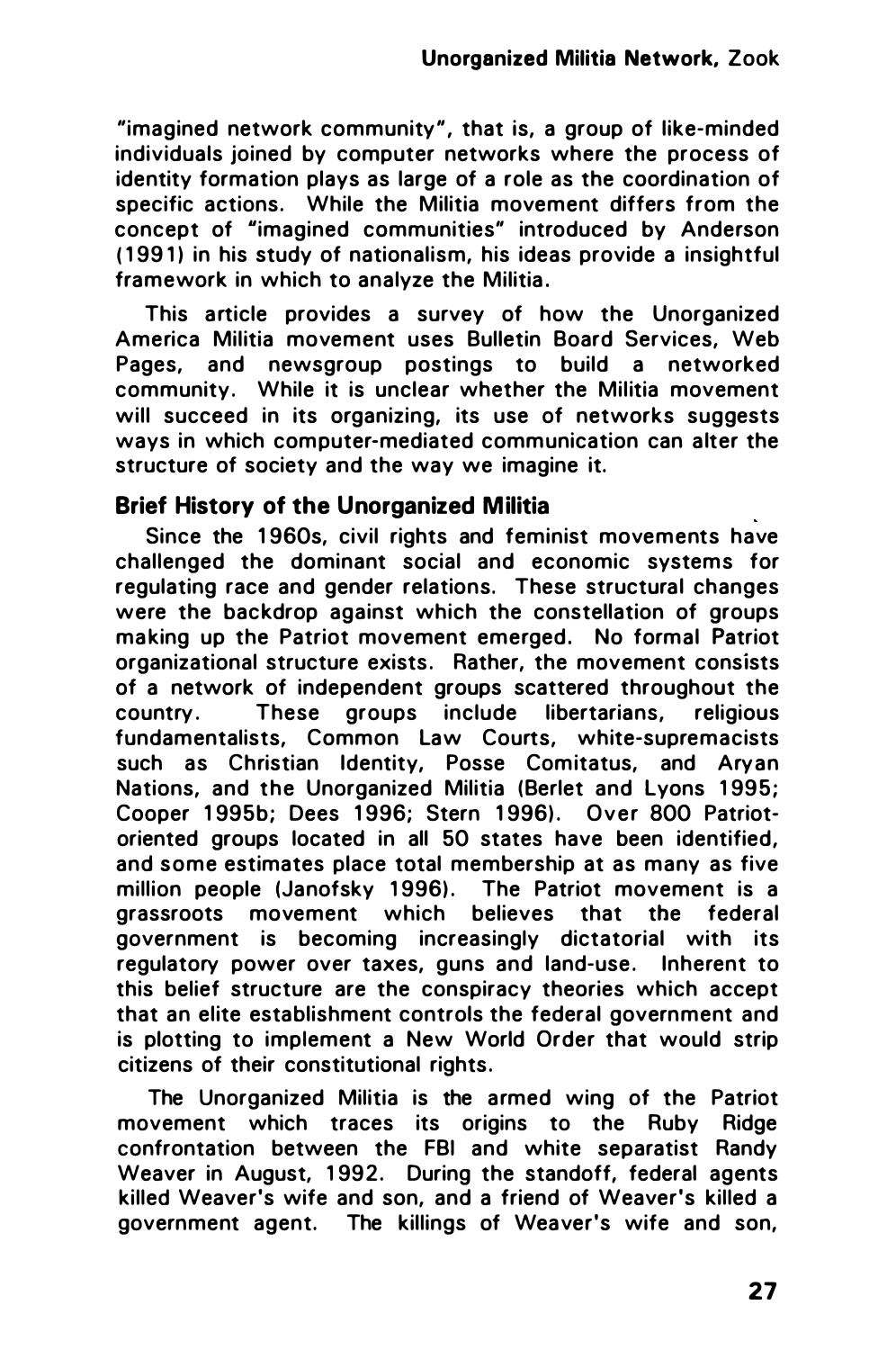"imagined network community", that is, a group of like-minded individuals joined by computer networks where the process of identity formation plays as large of a role as the coordination of specific actions. While the Militia movement differs from the concept of "imagined communities" introduced by Anderson ( 1 991) in his study of nationalism, his ideas provide a insightful framework in which to analyze the Militia.

This article provides a survey of how the Unorganized America Militia movement uses Bulletin Board Services, Web Pages, and newsgroup postings to build a networked community. While it is unclear whether the Militia movement will succeed in its organizing, its use of networks suggests ways in which computer-mediated communication can alter the structure of society and the way we imagine it.

## Brief History of the Unorganized Militia

Since the 1960s, civil rights and feminist movements have challenged the dominant social and economic systems for regulating race and gender relations. These structural changes were the backdrop against which the constellation of groups making up the Patriot movement emerged. No formal Patriot organizational structure exists. Rather, the movement consists of a network of independent groups scattered throughout the country. These groups include libertarians, religious fundamentalists, Common Law Courts, white-supremacists such as Christian Identity, Posse Comitatus, and Aryan Nations, and the Unorganized Militia (Berlet and Lyons 1995; Cooper 1995b; Dees 1996; Stern 1996). Over 800 Patriotoriented groups located in all 50 states have been identified, and some estimates place total membership at as many as five million people (Janofsky 1996). The Patriot movement is a grassroots movement which believes that the federal government is becoming increasingly dictatorial with its regulatory power over taxes, guns and land-use . Inherent to this belief structure are the conspiracy theories which accept that an elite establishment controls the federal government and is plotting to implement a New World Order that would strip citizens of their constitutional rights.

The Unorganized Militia is the armed wing of the Patriot movement which traces its origins to the Ruby Ridge confrontation between the FBI and white separatist Randy Weaver in August, 1992. During the standoff, federal agents killed Weaver's wife and son, and a friend of Weaver's killed a government agent. The killings of Weaver's wife and son,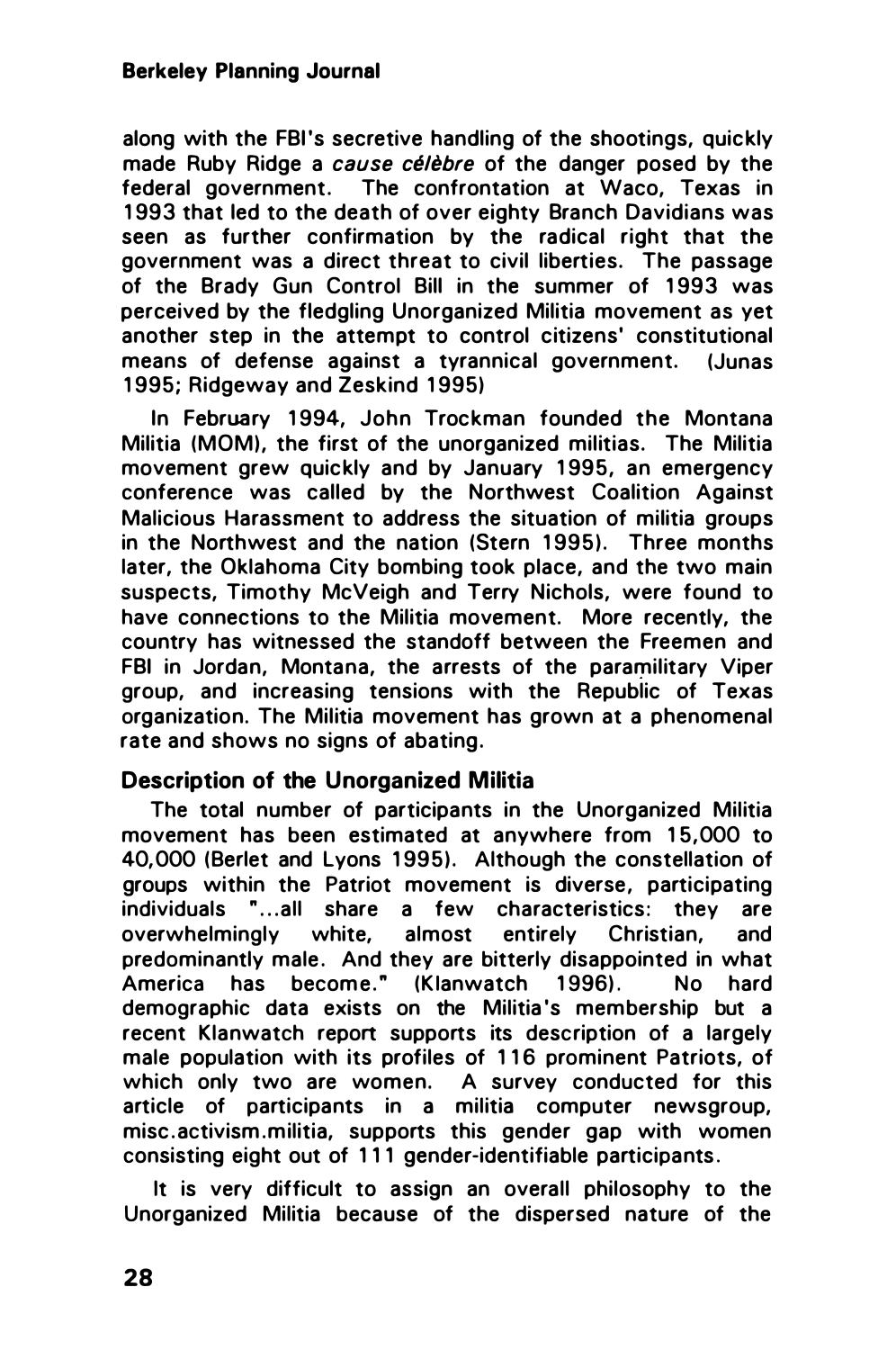along with the FBI's secretive handling of the shootings, quickly made Ruby Ridge a cause célèbre of the danger posed by the federal government. The confrontation at Waco, Texas in 1993 that led to the death of over eighty Branch Davidians was seen as further confirmation by the radical right that the government was a direct threat to civil liberties. The passage of the Brady Gun Control Bill in the summer of 1 993 was perceived by the fledgling Unorganized Militia movement as yet another step in the attempt to control citizens' constitutional means of defense against a tyrannical government. (Junas 1995; Ridgeway and Zeskind 1995)

In February 1994, John Trockman founded the Montana Militia (MOM), the first of the unorganized militias. The Militia movement grew quickly and by January 1 995, an emergency conference was called by the Northwest Coalition Against Malicious Harassment to address the situation of militia groups in the Northwest and the nation (Stern 1995). Three months later, the Oklahoma City bombing took place, and the two main suspects, Timothy McVeigh and Terry Nichols, were found to have connections to the Militia movement. More recently, the country has witnessed the standoff between the Freemen and FBI in Jordan, Montana, the arrests of the paramilitary Viper group, and increasing tensions with the Republic of Texas organization. The Militia movement has grown at a phenomenal rate and shows no signs of abating.

## Description of the Unorganized Militia

The total number of participants in the Unorganized Militia movement has been estimated at anywhere from 15,000 to 40,000 (Berlet and Lyons 1995). Although the constellation of groups within the Patriot movement is diverse, participating individuals "... all share a few characteristics: they are overwhelmingly white, almost entirely Christian, and predominantly male. And they are bitterly disappointed in what America has become." (Klanwatch 1996). No hard demographic data exists on the Militia 's membership but a recent Klanwatch report supports its description of a largely male population with its profiles of 1 1 6 prominent Patriots, of which only two are women. A survey conducted for this article of participants in a militia computer newsgroup, misc. activism. militia, supports this gender gap with women consisting eight out of 111 gender-identifiable participants .

It is very difficult to assign an overall philosophy to the Unorganized Militia because of the dispersed nature of the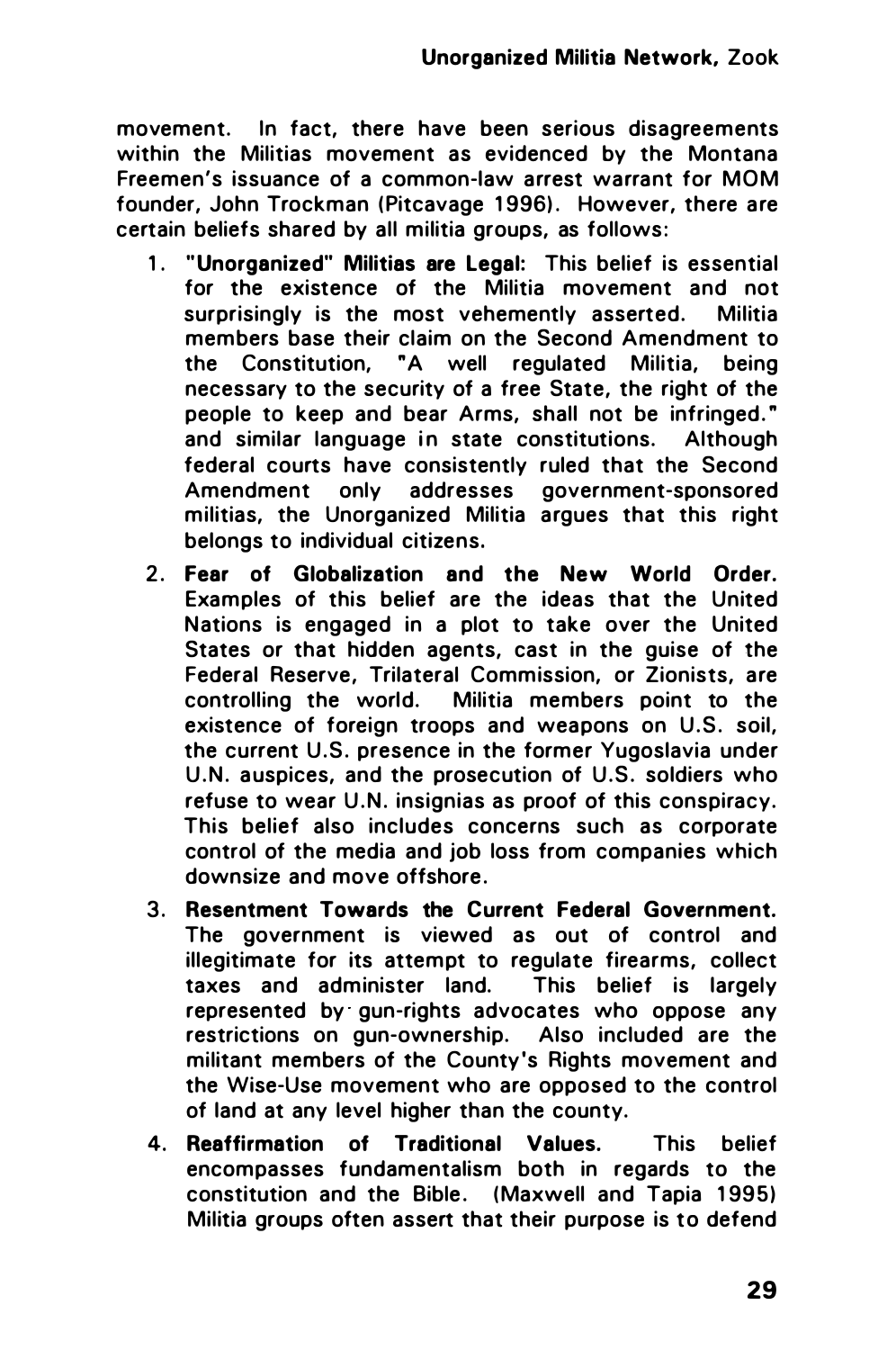movement. In fact, there have been serious disagreements within the Militias movement as evidenced by the Montana Freemen's issuance of a common-law arrest warrant for MOM founder, John Trockman (Pitcavage 1996). However, there are certain beliefs shared by all militia groups, as follows :

- 1. " Unorganized" Militias are Legal: This belief is essential for the existence of the Militia movement and not surprisingly is the most vehemently asserted. Militia members base their claim on the Second Amendment to the Constitution, "A well regulated Militia, being necessary to the security of a free State, the right of the people to keep and bear Arms, shall not be infringed." and similar language in state constitutions. Although federal courts have consistently ruled that the Second Amendment only addresses government-sponsored militias, the Unorganized Militia argues that this right belongs to individual citizens.
- 2. Fear of Globalization and the New World Order. Examples of this belief are the ideas that the United Nations is engaged in a plot to take over the United States or that hidden agents, cast in the guise of the Federal Reserve, Trilateral Commission, or Zionists, are controlling the world. Militia members point to the existence of foreign troops and weapons on U.S. soil, the current U.S. presence in the former Yugoslavia under U.N. auspices, and the prosecution of U.S. soldiers who refuse to wear U.N. insignias as proof of this conspiracy. This belief also includes concerns such as corporate control of the media and job loss from companies which downsize and move offshore.
- 3. Resentment Towards the Current Federal Government. The government is viewed as out of control and illegitimate for its attempt to regulate firearms, collect taxes and administer land. This belief is largely represented by gun-rights advocates who oppose any restrictions on gun-ownership. Also included are the militant members of the County's Rights movement and the Wise-Use movement who are opposed to the control of land at any level higher than the county.
- 4. Reaffirmation of Traditional Values. This belief encompasses fundamentalism both in regards to the constitution and the Bible. (Maxwell and Tapia 1995) Militia groups often assert that their purpose is to defend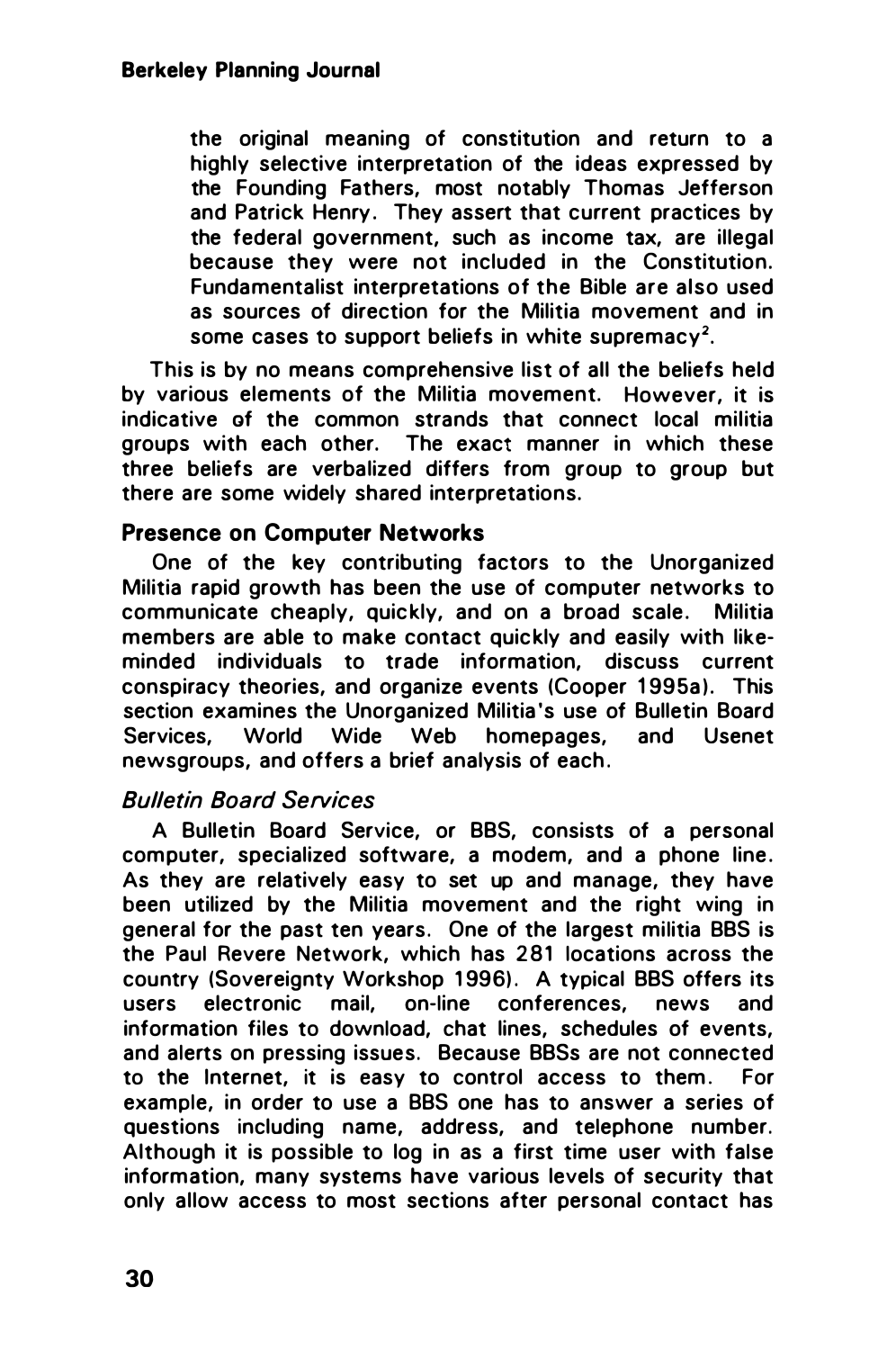the original meaning of constitution and return to a highly selective interpretation of the ideas expressed by the Founding Fathers, most notably Thomas Jefferson and Patrick Henry. They assert that current practices by the federal government, such as income tax, are illegal because they were not included in the Constitution. Fundamentalist interpretations of the Bible are also used as sources of direction for the Militia movement and in some cases to support beliefs in white supremacy<sup>2</sup>.

This is by no means comprehensive list of all the beliefs held by various elements of the Militia movement. However, it is indicative of the common strands that connect local militia groups with each other. The exact manner in which these three beliefs are verbalized differs from group to group but there are some widely shared interpretations.

## Presence on Computer Networks

One of the key contributing factors to the Unorganized Militia rapid growth has been the use of computer networks to communicate cheaply, quickly, and on a broad scale. Militia members are able to make contact quickly and easily with likeminded individuals to trade information, discuss current conspiracy theories, and organize events (Cooper 1995a). This section examines the Unorganized Militia's use of Bulletin Board Services, World Wide Web homepages, and Usenet newsgroups, and offers a brief analysis of each .

## Bulletin Board Services

A Bulletin Board Service, or BBS, consists of a personal computer, specialized software, a modem, and a phone line. As they are relatively easy to set up and manage, they have been utilized by the Militia movement and the right wing in general for the past ten years. One of the largest militia BBS is the Paul Revere Network, which has 281 locations across the country (Sovereignty Workshop 1996). A typical BBS offers its users electronic mail, on-line conferences, news and information files to download, chat lines, schedules of events, and alerts on pressing issues. Because BBSs are not connected to the Internet, it is easy to control access to them . For example, in order to use a BBS one has to answer a series of questions including name, address, and telephone number. Although it is possible to log in as a first time user with false information, many systems have various levels of security that only allow access to most sections after personal contact has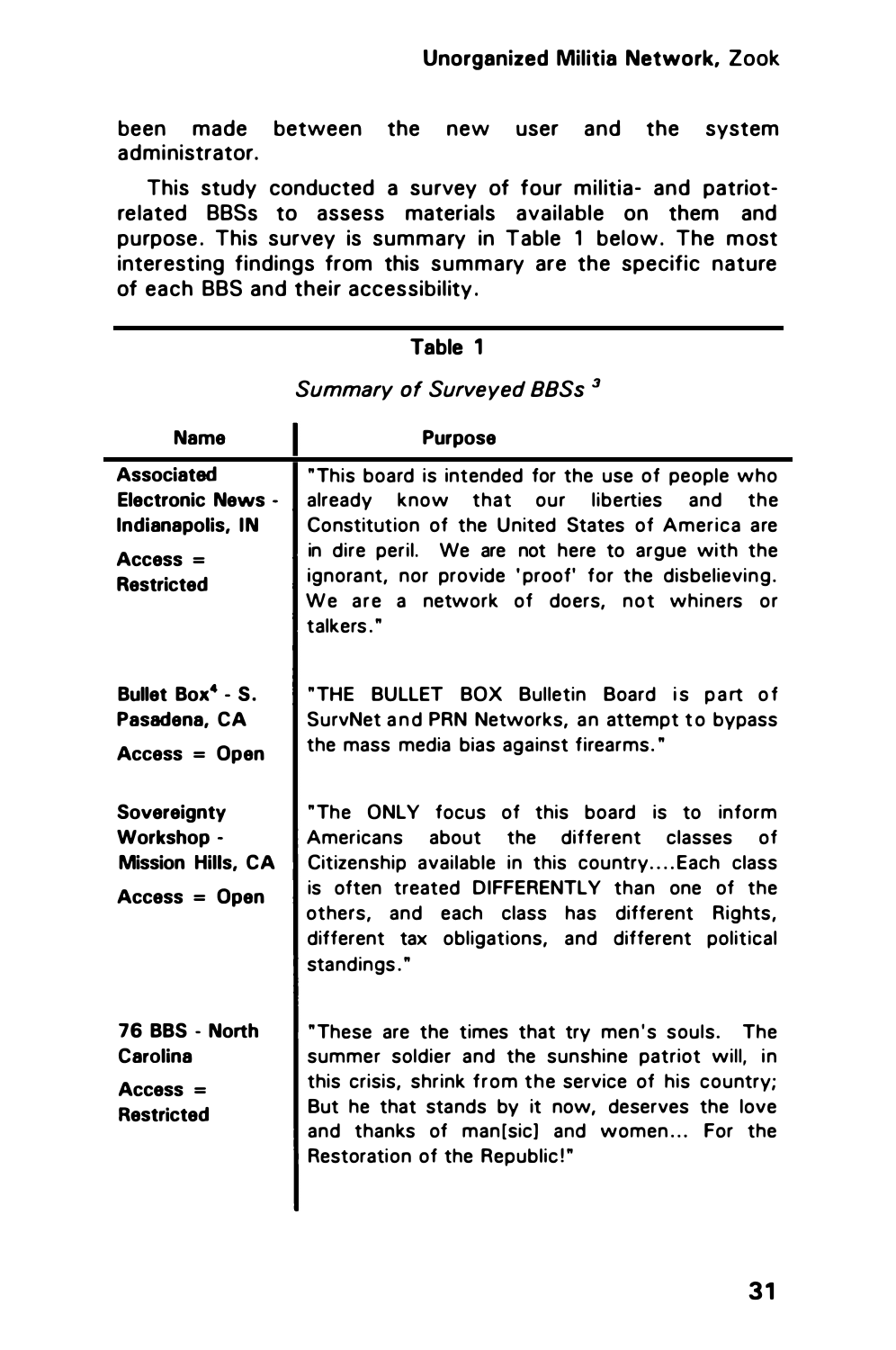been made between the new user and the system administrator.

This study conducted a survey of four militia- and patriotrelated BBSs to assess materials available on them and purpose. This survey is summary in Table 1 below. The most interesting findings from this summary are the specific nature of each BBS and their accessibility.

## Table 1

| Name                                                                                                 | <b>Purpose</b>                                                                                                                                                                                                                                                                                                                  |  |  |  |
|------------------------------------------------------------------------------------------------------|---------------------------------------------------------------------------------------------------------------------------------------------------------------------------------------------------------------------------------------------------------------------------------------------------------------------------------|--|--|--|
| <b>Associated</b><br><b>Electronic News -</b><br>Indianapolis, IN<br>$Access =$<br><b>Restricted</b> | "This board is intended for the use of people who<br>know that our liberties and the<br>already<br>Constitution of the United States of America are<br>in dire peril. We are not here to argue with the<br>ignorant, nor provide 'proof' for the disbelieving.<br>We are a network of doers, not whiners or<br>talkers."        |  |  |  |
| Bullet $Box4 - S$ .<br>Pasadena, CA<br>$Access = Open$                                               | "THE BULLET BOX Bulletin Board is part of<br>SurvNet and PRN Networks, an attempt to bypass<br>the mass media bias against firearms."                                                                                                                                                                                           |  |  |  |
| Sovereignty<br>Workshop -<br><b>Mission Hills, CA</b><br>$Access = Open$                             | "The ONLY focus of this board is to inform<br>the different classes<br>Americans<br>about<br>— of<br>Citizenship available in this countryEach class<br>is often treated DIFFERENTLY than one of the<br>others, and each class has<br>different<br>Rights,<br>different tax obligations, and different political<br>standings." |  |  |  |
| 76 BBS - North<br>Carolina<br>$Access =$<br><b>Restricted</b>                                        | "These are the times that try men's souls. The<br>summer soldier and the sunshine patriot will, in<br>this crisis, shrink from the service of his country:<br>But he that stands by it now, deserves the love<br>and thanks of man[sic] and women For the<br>Restoration of the Republic!"                                      |  |  |  |

## Summary of Surveyed BBSs<sup>3</sup>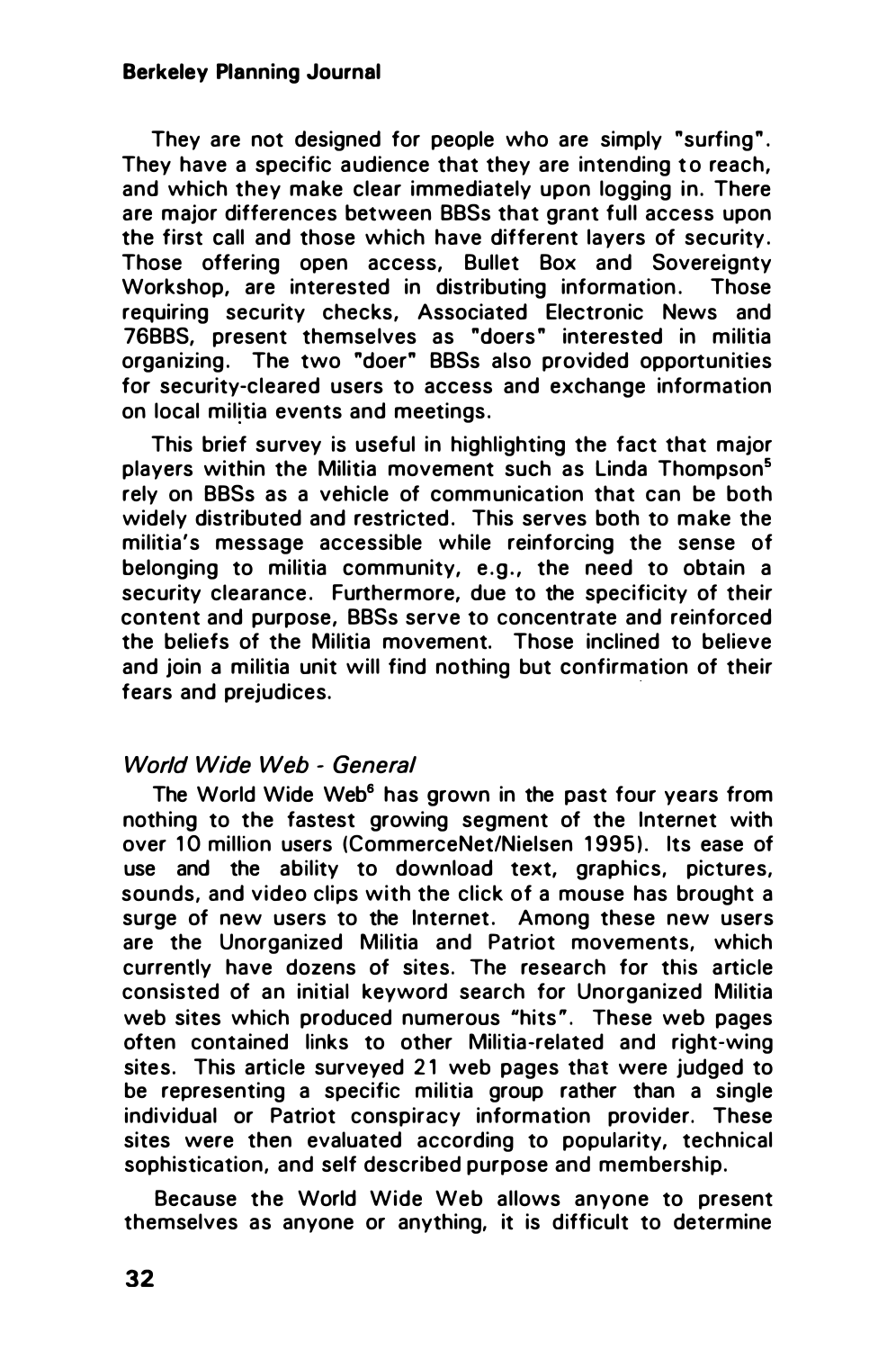#### Berkeley Planning Journal

They are not designed for people who are simply "surfing". They have a specific audience that they are intending to reach. and which they make clear immediately upon logging in. There are major differences between BBSs that grant full access upon the first call and those which have different layers of security. Those offering open access, Bullet Box and Sovereignty Workshop, are interested in distributing information. Those requiring security checks, Associated Electronic News and 76BBS, present themselves as "doers " interested in militia organizing. The two "doer" BBSs also provided opportunities for security-cleared users to access and exchange information on local militia events and meetings.

This brief survey is useful in highlighting the fact that major players within the Militia movement such as Linda Thompson<sup>5</sup> rely on BBSs as a vehicle of communication that can be both widely distributed and restricted. This serves both to make the militia's message accessible while reinforcing the sense of belonging to militia community, e.g., the need to obtain a security clearance. Furthermore, due to the specificity of their content and purpose, BBSs serve to concentrate and reinforced the beliefs of the Militia movement. Those inclined to believe and join a militia unit will find nothing but confirmation of their fears and prejudices.

#### World Wide Web - General

The World Wide Web<sup>6</sup> has grown in the past four years from nothing to the fastest growing segment of the Internet with over 10 million users (CommerceNet/Nielsen 1995). Its ease of use and the ability to download text, graphics, pictures, sounds, and video clips with the click of a mouse has brought a surge of new users to the Internet. Among these new users are the Unorganized Militia and Patriot movements, which currently have dozens of sites. The research for this article consisted of an initial keyword search for Unorganized Militia web sites which produced numerous "hits". These web pages often contained links to other Militia-related and right-wing sites. This article surveyed 21 web pages that were judged to be representing a specific militia group rather than a single individual or Patriot conspiracy information provider. These sites were then evaluated according to popularity, technical sophistication, and self described purpose and membership.

Because the World Wide Web allows anyone to present themselves as anyone or anything, it is difficult to determine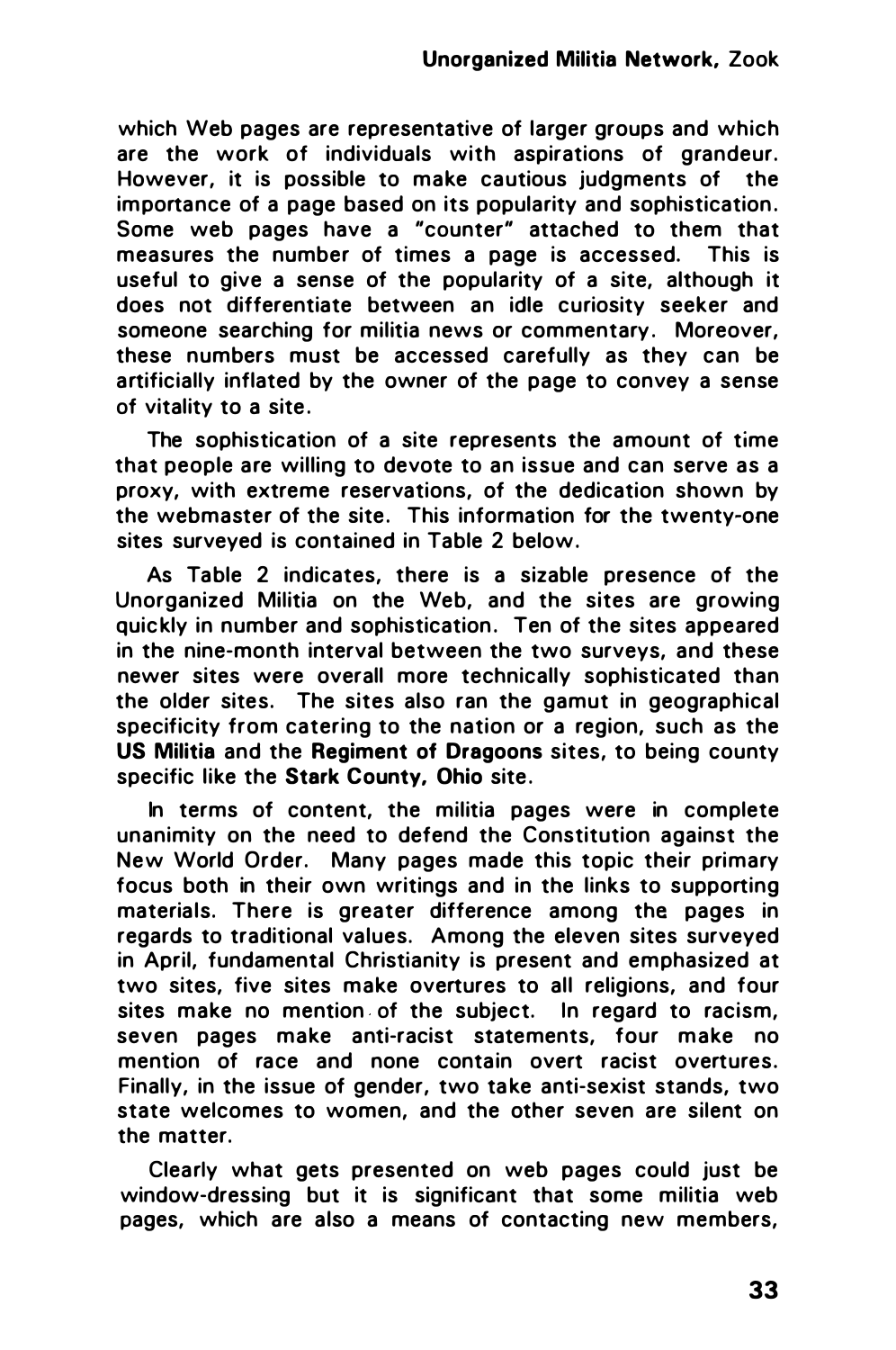which Web pages are representative of larger groups and which are the work of individuals with aspirations of grandeur. However, it is possible to make cautious judgments of the importance of a page based on its popularity and sophistication . Some web pages have a "counter" attached to them that measures the number of times a page is accessed. This is useful to give a sense of the popularity of a site, although it does not differentiate between an idle curiosity seeker and someone searching for militia news or commentary. Moreover, these numbers must be accessed carefully as they can be artificially inflated by the owner of the page to convey a sense of vitality to a site .

The sophistication of a site represents the amount of time that people are willing to devote to an issue and can serve as a proxy, with extreme reservations, of the dedication shown by the webmaster of the site. This information for the twenty-one sites surveyed is contained in Table 2 below.

As Table 2 indicates, there is a sizable presence of the Unorganized Militia on the Web, and the sites are growing quickly in number and sophistication. Ten of the sites appeared in the nine·month interval between the two surveys, and these newer sites were overall more technically sophisticated than the older sites. The sites also ran the gamut in geographical specificity from catering to the nation or a region, such as the US Militia and the Regiment of Dragoons sites, to being county specific like the Stark County, Ohio site.

In terms of content, the militia pages were in complete unanimity on the need to defend the Constitution against the New World Order. Many pages made this topic their primary focus both in their own writings and in the links to supporting materials. There is greater difference among the pages in regards to traditional values. Among the eleven sites surveyed in April, fundamental Christianity is present and emphasized at two sites, five sites make overtures to all religions, and four sites make no mention of the subject. In regard to racism, seven pages make anti-racist statements, four make no mention of race and none contain overt racist overtures. Finally, in the issue of gender, two take anti-sexist stands, two state welcomes to women, and the other seven are silent on the matter.

Clearly what gets presented on web pages could just be window-dressing but it is significant that some militia web pages, which are also a means of contacting new members,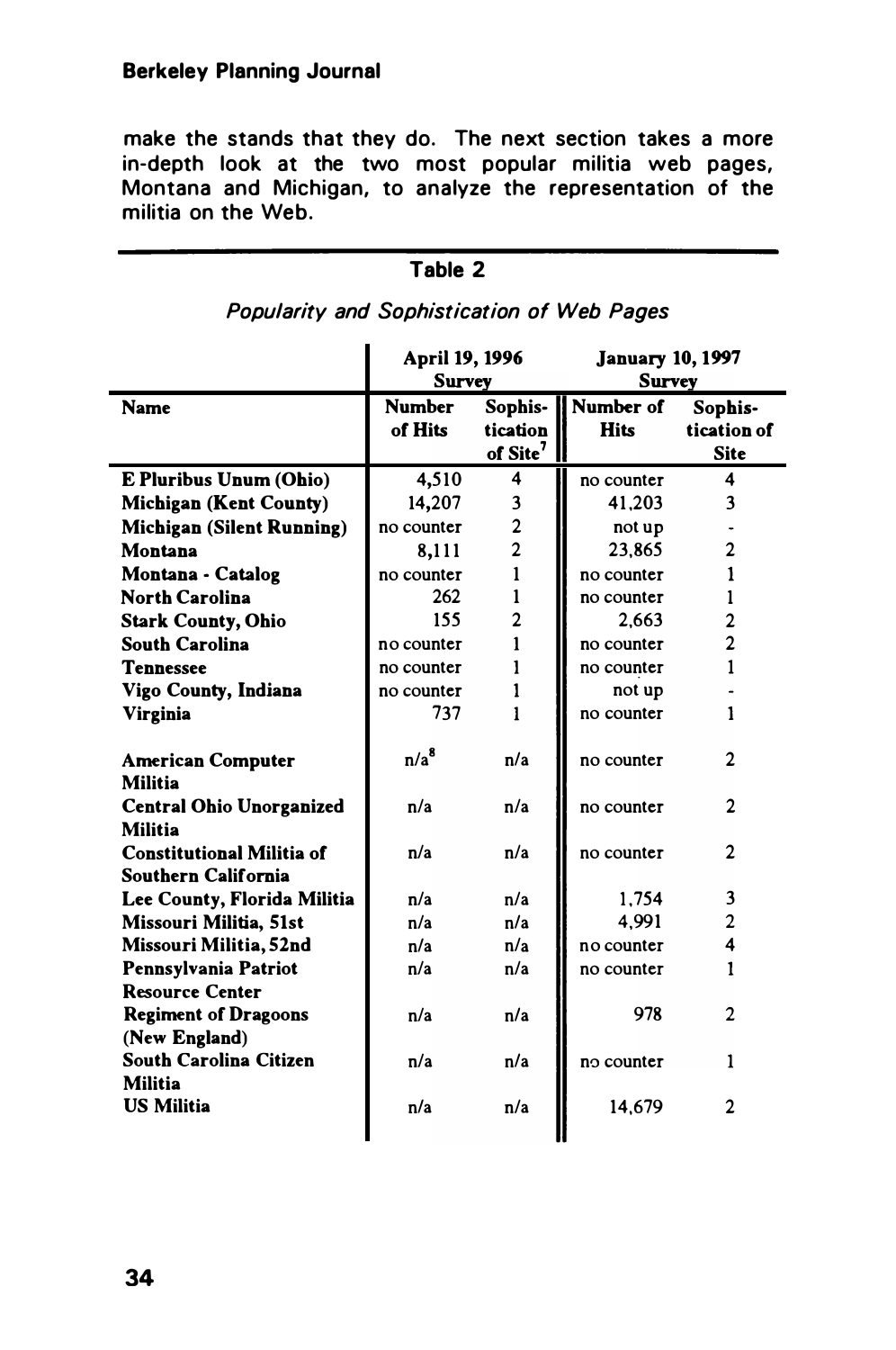make the stands that they do. The next section takes a more in-depth look at the two most popular militia web pages, Montana and Michigan, to analyze the representation of the militia on the Web.

|                                                         | April 19, 1996<br><b>Survey</b> |                                             | <b>January 10, 1997</b><br><b>Survey</b> |                                       |
|---------------------------------------------------------|---------------------------------|---------------------------------------------|------------------------------------------|---------------------------------------|
| Name                                                    | <b>Number</b><br>of Hits        | Sophis-<br>tication<br>of Site <sup>7</sup> | Il Number of<br><b>Hits</b>              | Sophis-<br>tication of<br><b>Site</b> |
| E Pluribus Unum (Ohio)                                  | 4,510                           | 4                                           | no counter                               | 4                                     |
| Michigan (Kent County)                                  | 14,207                          | 3                                           | 41.203                                   | 3                                     |
| Michigan (Silent Running)                               | no counter                      | $\overline{2}$                              | not up                                   |                                       |
| Montana                                                 | 8,111                           | $\overline{2}$                              | 23.865                                   | $\overline{2}$                        |
| Montana - Catalog                                       | no counter                      | 1                                           | no counter                               | 1                                     |
| <b>North Carolina</b>                                   | 262                             | 1                                           | no counter                               | 1                                     |
| <b>Stark County, Ohio</b>                               | 155                             | $\overline{2}$                              | 2.663                                    | 2                                     |
| <b>South Carolina</b>                                   | no counter                      | 1                                           | no counter                               | $\overline{c}$                        |
| Tennessee                                               | no counter                      | 1                                           | no counter                               | 1                                     |
| Vigo County, Indiana                                    | no counter                      | 1                                           | not up                                   |                                       |
| Virginia                                                | 737                             | 1                                           | no counter                               | 1                                     |
| <b>American Computer</b><br>Militia                     | $n/a^8$                         | n/a                                         | no counter                               | 2                                     |
| <b>Central Ohio Unorganized</b><br>Militia              | n/a                             | n/a                                         | no counter                               | $\mathbf{2}$                          |
| <b>Constitutional Militia of</b><br>Southern California | n/a                             | n/a                                         | no counter                               | 2                                     |
| Lee County, Florida Militia                             | n/a                             | n/a                                         | 1.754                                    | 3                                     |
| Missouri Militia, 51st                                  | n/a                             | n/a                                         | 4.991                                    | $\overline{2}$                        |
| Missouri Militia, 52nd                                  | n/a                             | n/a                                         | no counter                               | 4                                     |
| Pennsylvania Patriot                                    | n/a                             | n/a                                         | no counter                               | 1                                     |
| <b>Resource Center</b>                                  |                                 |                                             |                                          |                                       |
| <b>Regiment of Dragoons</b><br>(New England)            | n/a                             | n/a                                         | 978                                      | $\mathfrak{D}$                        |
| South Carolina Citizen<br>Militia                       | n/a                             | n/a                                         | no counter                               | 1                                     |
| <b>US Militia</b>                                       | n/a                             | n/a                                         | 14.679                                   | 2                                     |

## Table 2 Popularity and Sophistication of Web Pages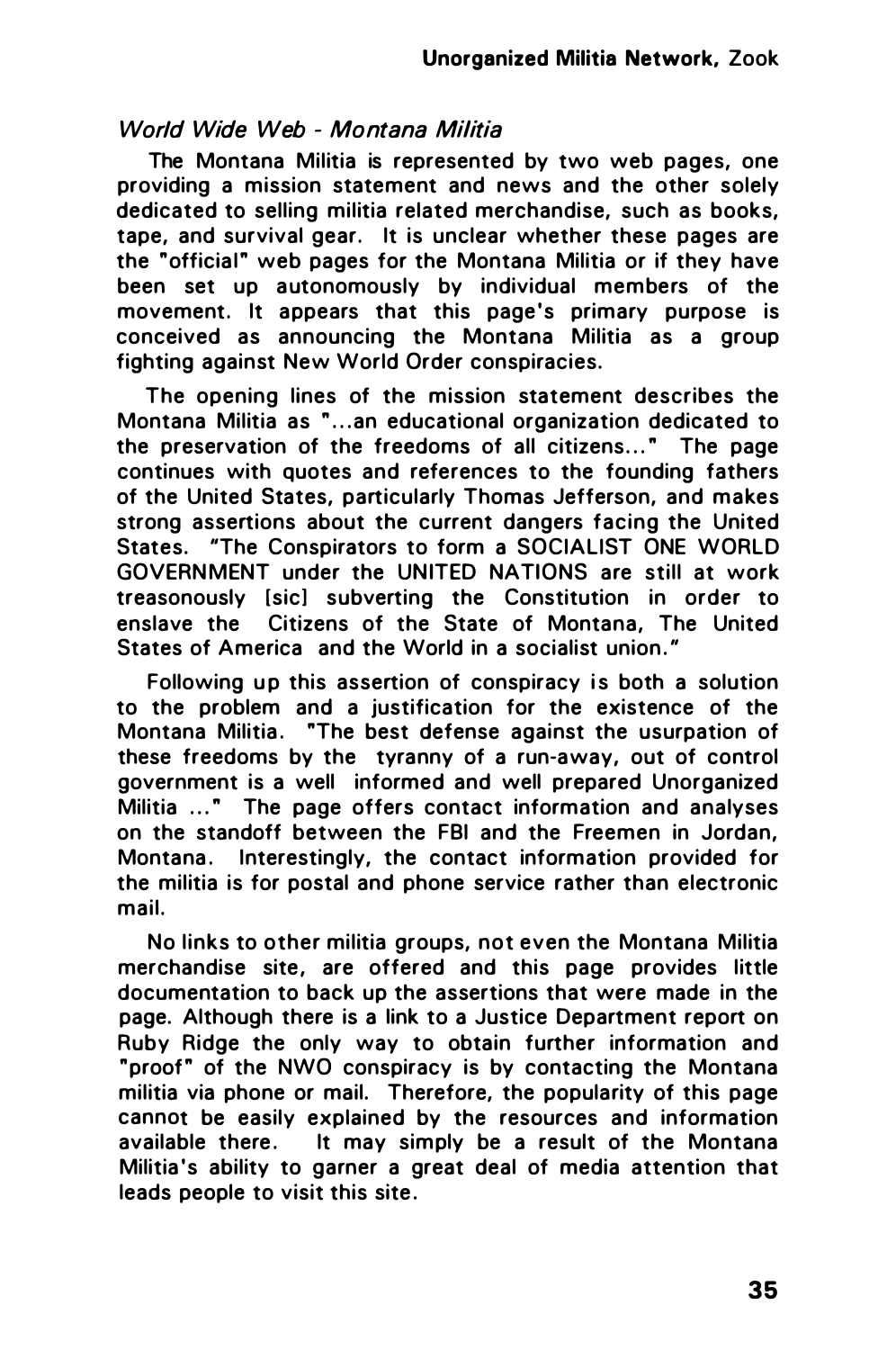## World Wide Web - Montana Militia

The Montana Militia is represented by two web pages, one providing a mission statement and news and the other solely dedicated to selling militia related merchandise, such as books, tape, and survival gear. It is unclear whether these pages are the "official" web pages for the Montana Militia or if they have been set up autonomously by individual members of the movement. It appears that this page's primary purpose is conceived as announcing the Montana Militia as a group fighting against New World Order conspiracies.

The opening lines of the mission statement describes the Montana Militia as " ... an educational organization dedicated to the preservation of the freedoms of all citizens ... " The page continues with quotes and references to the founding fathers of the United States, particularly Thomas Jefferson, and makes strong assertions about the current dangers facing the United States. "The Conspirators to form a SOCIALIST ONE WORLD GOVERNMENT under the UNITED NATIONS are still at work treasonously [sic] subverting the Constitution in order to enslave the Citizens of the State of Montana, The United States of America and the World in a socialist union."

Following up this assertion of conspiracy is both a solution to the problem and a justification for the existence of the Montana Militia. "The best defense against the usurpation of these freedoms by the tyranny of a run-away, out of control government is a well informed and well prepared Unorganized Militia ..." The page offers contact information and analyses on the standoff between the FBI and the Freemen in Jordan, Montana. Interestingly, the contact information provided for the militia is for postal and phone service rather than electronic mail.

No links to other militia groups, not even the Montana Militia merchandise site, are offered and this page provides little documentation to back up the assertions that were made in the page. Although there is a link to a Justice Department report on Ruby Ridge the only way to obtain further information and "proof" of the NWO conspiracy is by contacting the Montana militia via phone or mail. Therefore, the popularity of this page cannot be easily explained by the resources and information available there. It may simply be a result of the Montana Militia 's ability to garner a great deal of media attention that leads people to visit this site .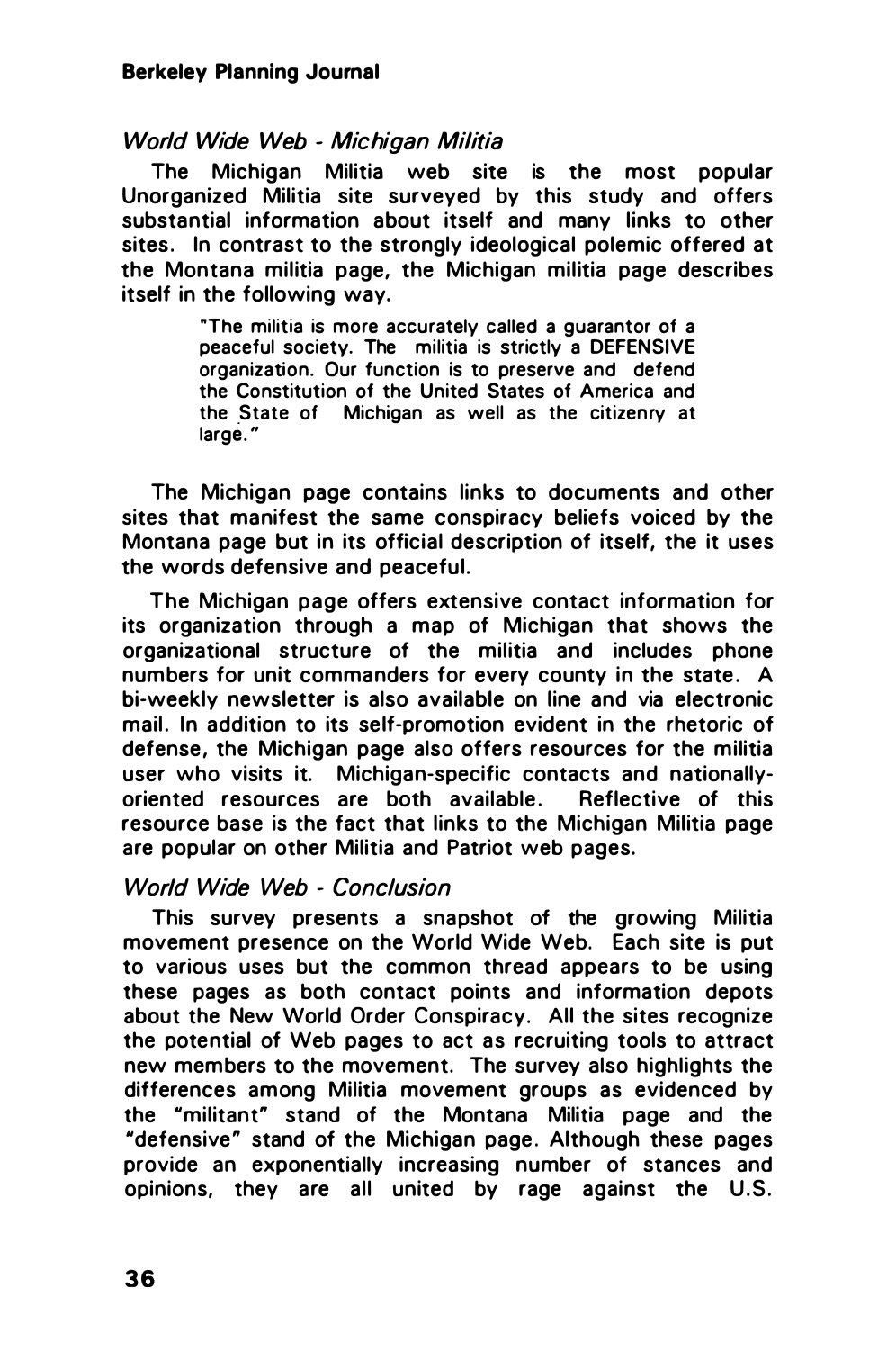#### Berkeley Planning Journal

#### World Wide Web - Michigan Militia

The Michigan Militia web site is the most popular Unorganized Militia site surveyed by this study and offers substantial information about itself and many links to other sites. In contrast to the strongly ideological polemic offered at the Montana militia page, the Michigan militia page describes itself in the following way.

> "The militia is more accurately called a guarantor of a peaceful society. The militia is strictly a DEFENSIVE organization. Our function is to preserve and defend the Constitution of the United States of America and the State of Michigan as well as the citizenry at large."

The Michigan page contains links to documents and other sites that manifest the same conspiracy beliefs voiced by the Montana page but in its official description of itself, the it uses the words defensive and peaceful.

The Michigan page offers extensive contact information for its organization through a map of Michigan that shows the organizational structure of the militia and includes phone numbers for unit commanders for every county in the state. A bi-weekly newsletter is also available on line and via electronic mail. In addition to its self-promotion evident in the rhetoric of defense, the Michigan page also offers resources for the militia user who visits it. Michigan-specific contacts and nationallyoriented resources are both available. Reflective of this resource base is the fact that links to the Michigan Militia page are popular on other Militia and Patriot web pages.

#### World Wide Web - Conclusion

This survey presents a snapshot of the growing Militia movement presence on the World Wide Web. Each site is put to various uses but the common thread appears to be using these pages as both contact points and information depots about the New World Order Conspiracy. All the sites recognize the potential of Web pages to act as recruiting tools to attract new members to the movement. The survey also highlights the differences among Militia movement groups as evidenced by the "militant" stand of the Montana Militia page and the "defensive" stand of the Michigan page. Although these pages provide an exponentially increasing number of stances and opinions, they are all united by rage against the U.S.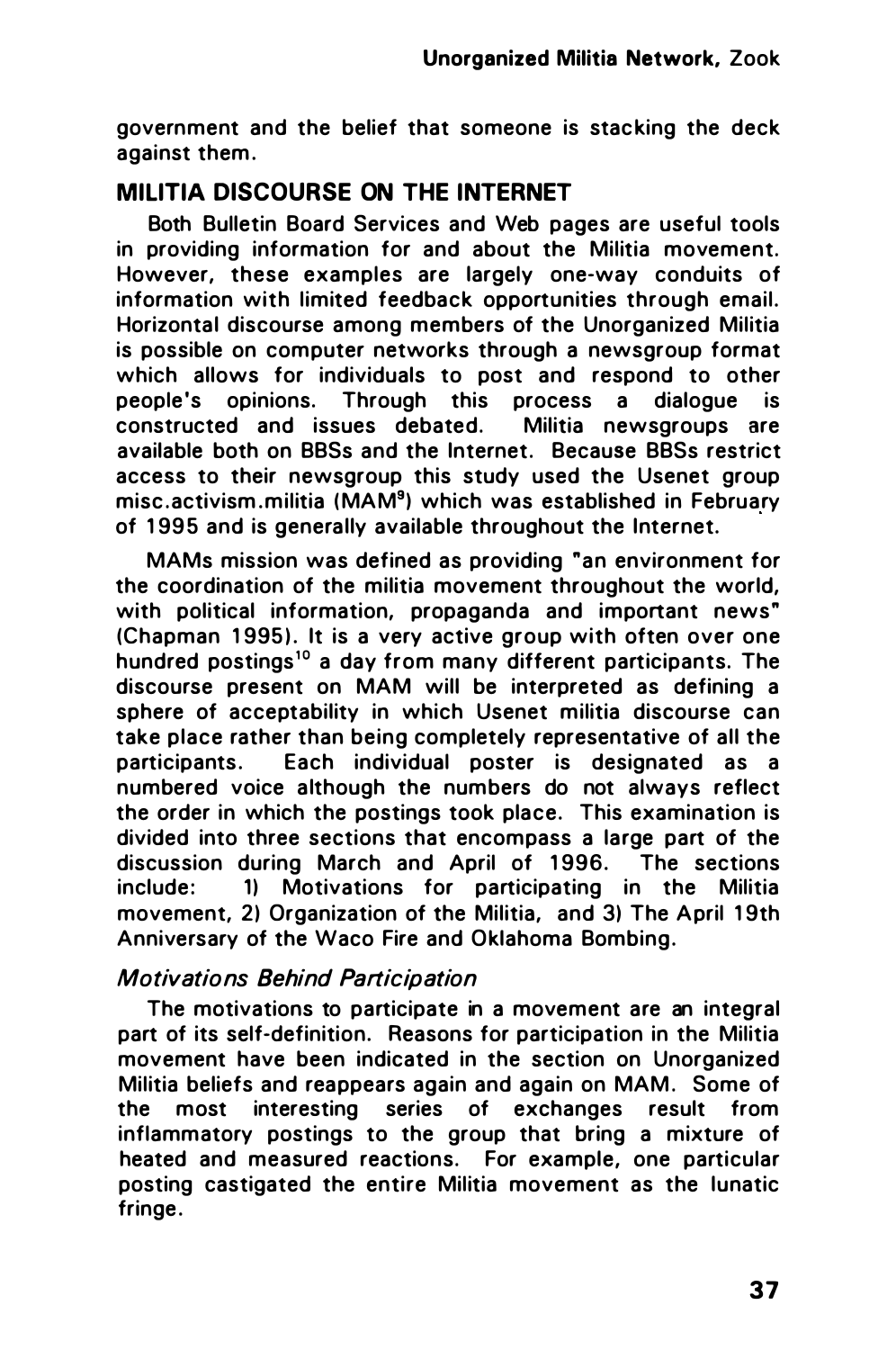government and the belief that someone is stacking the deck against them .

## MILITIA DISCOURSE ON THE INTERNET

Both Bulletin Board Services and Web pages are useful tools in providing information for and about the Militia movement. However, these examples are largely one-way conduits of information with limited feedback opportunities through email. Horizontal discourse among members of the Unorganized Militia is possible on computer networks through a newsgroup format which allows for individuals to post and respond to other people's opinions. Through this process a dialogue is<br>constructed and issues debated. Militia newsgroups are constructed and issues debated. available both on BBSs and the Internet. Because BBSs restrict access to their newsgroup this study used the Usenet group misc . activism . militia (MAM<sup>9</sup>) which was established in February of 1995 and is generally available throughout the Internet.

MAMs mission was defined as providing "an environment for the coordination of the militia movement throughout the world, with political information, propaganda and important news" (Chapman 1995). It is a very active group with often over one hundred postings<sup>10</sup> a day from many different participants. The discourse present on MAM will be interpreted as defining a sphere of acceptability in which Usenet militia discourse can take place rather than being completely representative of all the participants. Each individual poster is designated as a numbered voice although the numbers do not always reflect the order in which the postings took place. This examination is divided into three sections that encompass a large part of the discussion during March and April of 1996. The sections include: 11 Motivations for participating in the Militia movement, 2) Organization of the Militia, and 3) The April 19th Anniversary of the Waco Fire and Oklahoma Bombing.

## Motivations Behind Participation

The motivations to participate in a movement are an integral part of its self-definition. Reasons for participation in the Militia movement have been indicated in the section on Unorganized Militia beliefs and reappears again and again on MAM. Some of the most interesting series of exchanges result from inflammatory postings to the group that bring a mixture of heated and measured reactions. For example, one particular posting castigated the entire Militia movement as the lunatic fringe .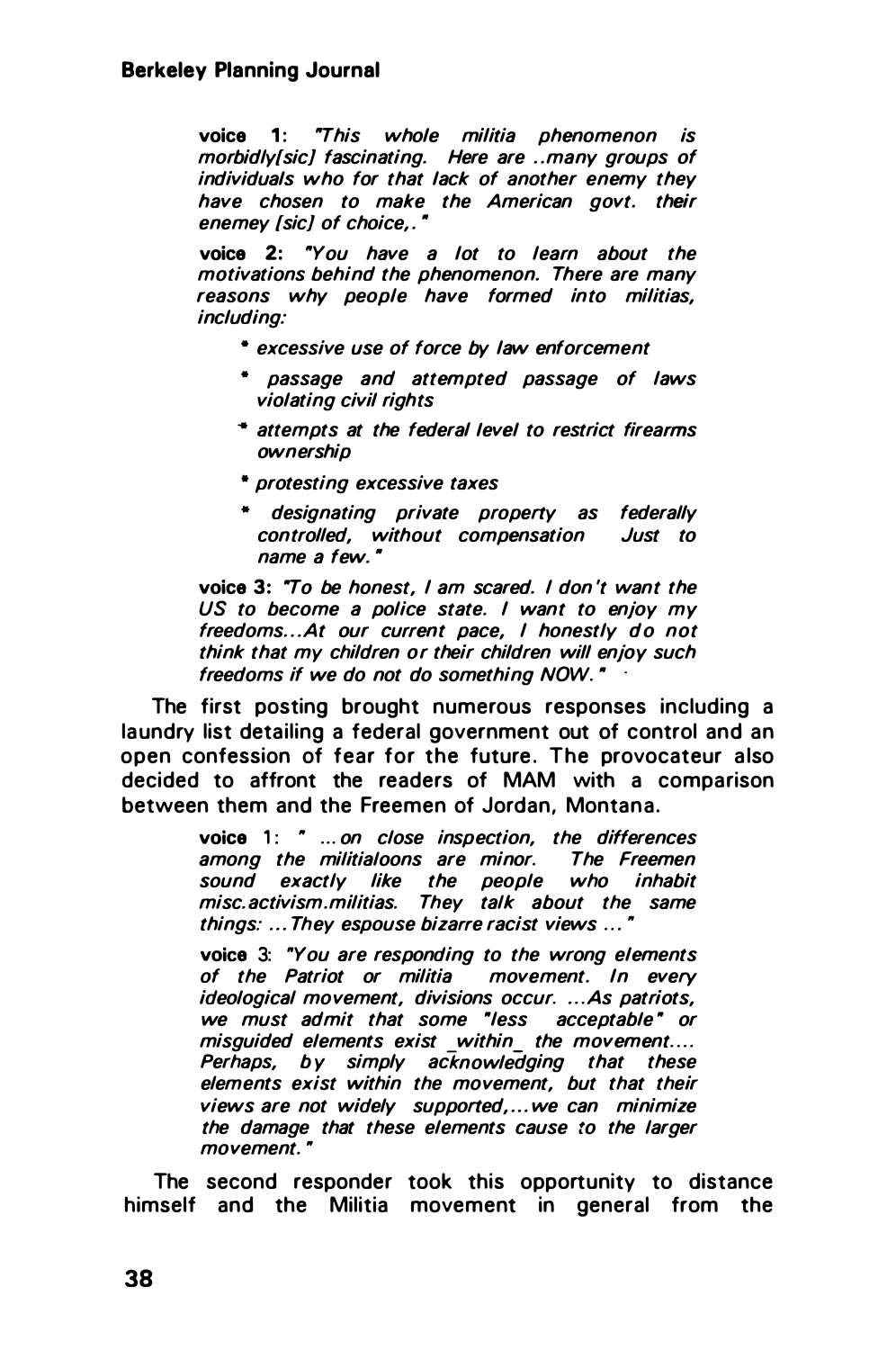voice 1: "This whole militia phenomenon is morbidly{sic] fascinating. Here are .. many groups of individuals who for that lack of another enemy they have chosen to make the American govt. their enemey [sic] of choice.."

voice 2: "You have a lot to learn about the motivations behind the phenomenon. There are many reasons why people have formed into militias, including:

- excessive use of force by law enforcement
- passage and attempted passage of laws violating civil rights
- ·• attempts at the federal /eve/ to restrict firearms ownership
- protesting excessive taxes
- designating private propeny as federally controlled, without compensation Just to name a few. ·

voice 3: "To be honest, I am scared. I don 't want the US to become a police state. I want to enjoy my freedoms... At our current pace, I honestly do not think that my children or their children will enjoy such freedoms if we do not do something NOW. •

The first posting brought numerous responses including a laundry list detailing a federal government out of control and an open confession of fear for the future. The provocateur also decided to affront the readers of MAM with a comparison between them and the Freemen of Jordan, Montana.

> voice 1: " ... on close inspection, the differences among the militialoons are minor. The Freemen sound exactly like the people who inhabit misc. activism.militias. They talk about the same things: ... They espouse bizarre racist views ... •

voice 3: "You are responding to the wrong elements of the Patriot or militia movement. In every ideological movement, divisions occur. ...As patriots, we must admit that some "less acceptable" or misquided elements exist within the movement.... Perhaps, by simply acknowledging that these elements exist within the movement, but that their views are not widely supported,...we can minimize the damage that these elements cause to the larger movement."

The second responder took this opportunity to distance himself and the Militia movement in general from the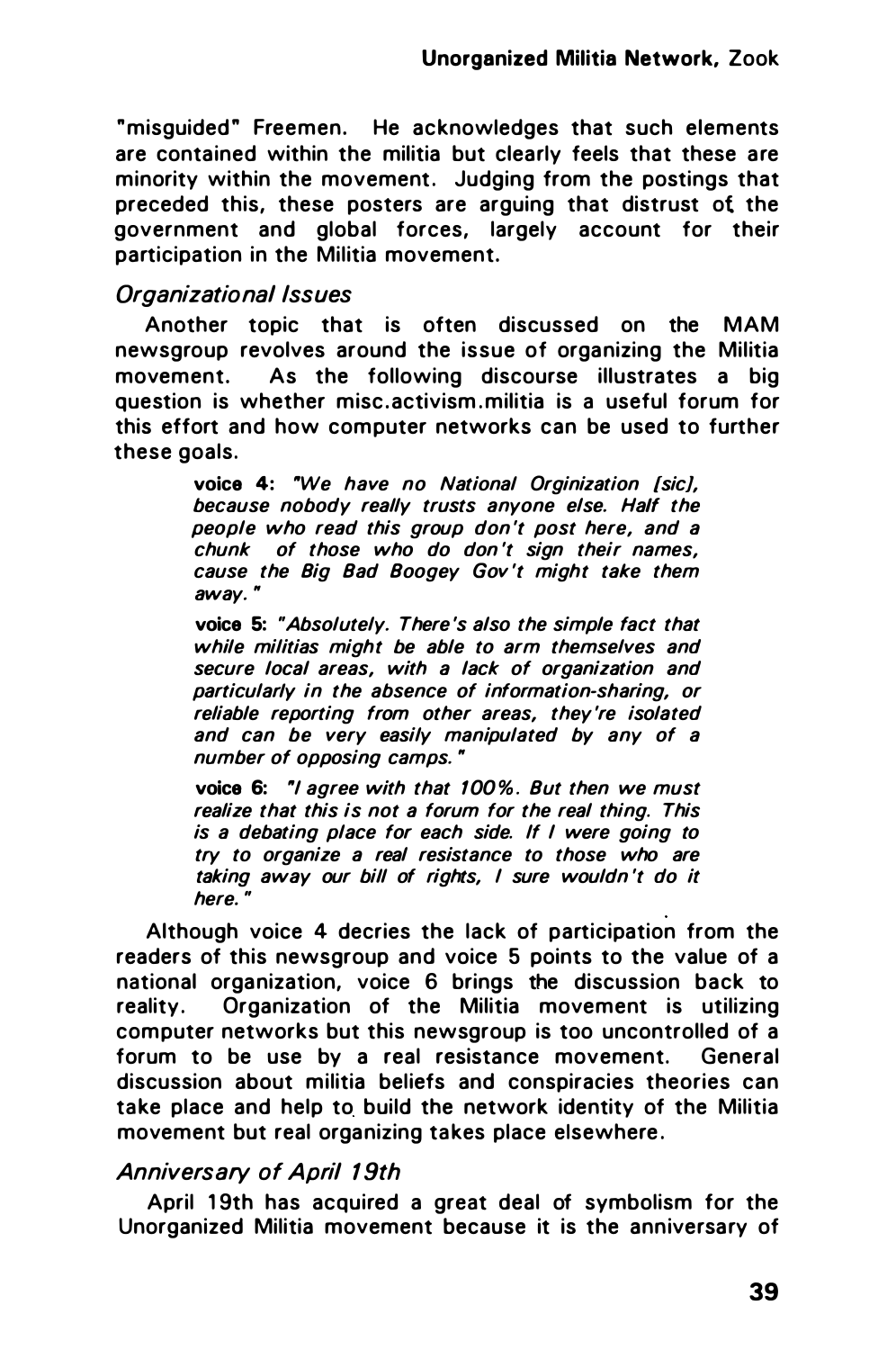"misquided" Freemen. He acknowledges that such elements are contained within the militia but clearly feels that these are minority within the movement. Judging from the postings that preceded this, these posters are arguing that distrust ot the government and global forces, largely account for their participation in the Militia movement.

## Organizational Issues

Another topic that is often discussed on the MAM newsgroup revolves around the issue of organizing the Militia movement. As the following discourse illustrates a big question is whether misc activism militia is a useful forum for this effort and how computer networks can be used to further these goals.

> voice 4: "We have no National Orginization [sic], because nobody really trusts anyone else. Half the people who read this group don 't post here, and a chunk of those who do don 't sign their names, cause the Big Bad Boogey Gov 't might take them away. •

> voice 5: "Absolutely. There 's also the simple fact that while militias might be able to arm themselves and secure local areas, with a lack of organization and particularly in the absence of information-sharing, or reliable reporting from other areas, they 're isolated and can be very easily manipulated by any of a number of opposing camps. •

> voice 6: "I agree with that 100%. But then we must realize that this is not a forum for the real thing. This is a debating place for each side. If I were going to try to organize a real resistance to those who are taking away our bill of rights, I sure wouldn 't do it here. "

Although voice 4 decries the lack of participation from the readers of this newsgroup and voice 5 points to the value of a national organization, voice 6 brings the discussion back to reality. Organization of the Militia movement is utilizing computer networks but this newsgroup is too uncontrolled of a forum to be use by a real resistance movement. General discussion about militia beliefs and conspiracies theories can ta ke place and help to build the network identity of the Militia movement but real organizing takes place elsewhere.

## Anniversary of April 19th

April 19th has acquired a great deal of symbolism for the Unorganized Militia movement because it is the anniversary of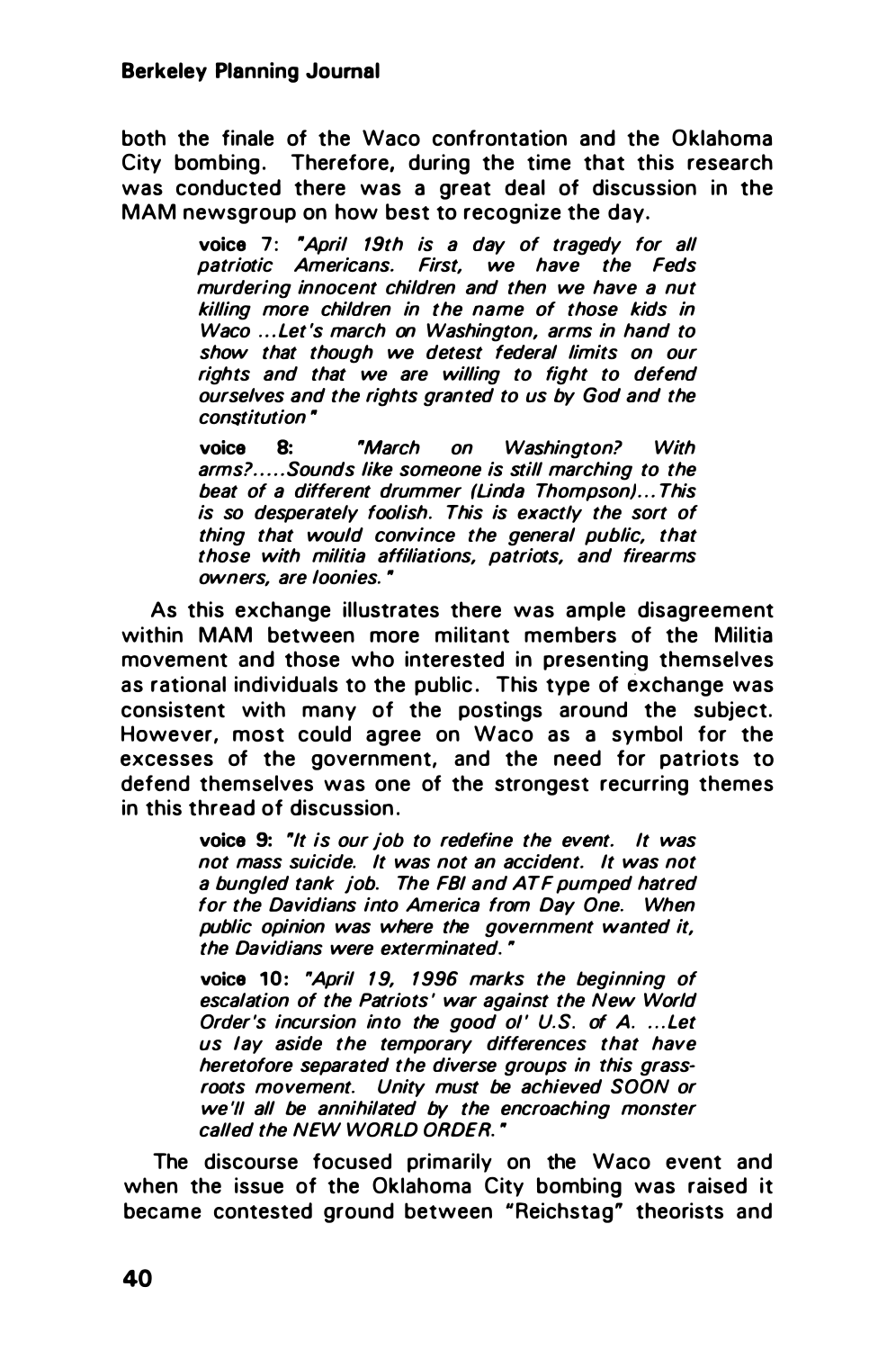both the finale of the Waco confrontation and the Oklahoma City bombing. Therefore, during the time that this research was conducted there was a great deal of discussion in the MAM newsgroup on how best to recognize the day.

> voice 7: "April 19th is a day of tragedy for all patriotic Americans. First, we have the Feds murdering innocent children and then we have a nut killing more children in the name of those kids in Waco ... Let 's march on Washington, arms in hand to show that though we detest federal limits on our rights and that we are willing to fight to defend ourselves and the rights granted to us by God and the  $constraint$

> voice 8: "March on Washington? With arms? ..... Sounds like someone is still marching to the beat of a different drummer (Linda Thompson)... This is so desperately foolish. This is exactly the sort of thing that would convince the general public, that those with militia affiliations, patriots, and firearms owners, are loonies. •

As this exchange illustrates there was ample disagreement within MAM between more militant members of the Militia movement and those who interested in presenting themselves as rational individuals to the public. This type of exchange was consistent with many of the postings around the subject. However, most could agree on Waco as a symbol for the excesses of the government, and the need for patriots to defend themselves was one of the strongest recurring themes in this thread of discussion .

> voice 9: "It is our job to redefine the event. It was not mass suicide. It was not an accident. It was not a bungled tank job. The FBI and ATF pumped hatred for the Davidians into America from Day One. When public opinion was where the government wanted it, the Davidians were exterminated. •

> voice 10: "April 19, 1996 marks the beginning of escalation of the Patriots' war against the New World Order's incursion into the good ol' U.S. of A. ...Let us lay aside the temporary differences that have heretofore separated the diverse groups in this grassroots movement. Unity must be achieved SOON or we 'II all be annihilated by the encroaching monster called the NEW WORLD ORDER. "

The discourse focused primarily on the Waco event and when the issue of the Oklahoma City bombing was raised it became contested ground between "Reichstag" theorists and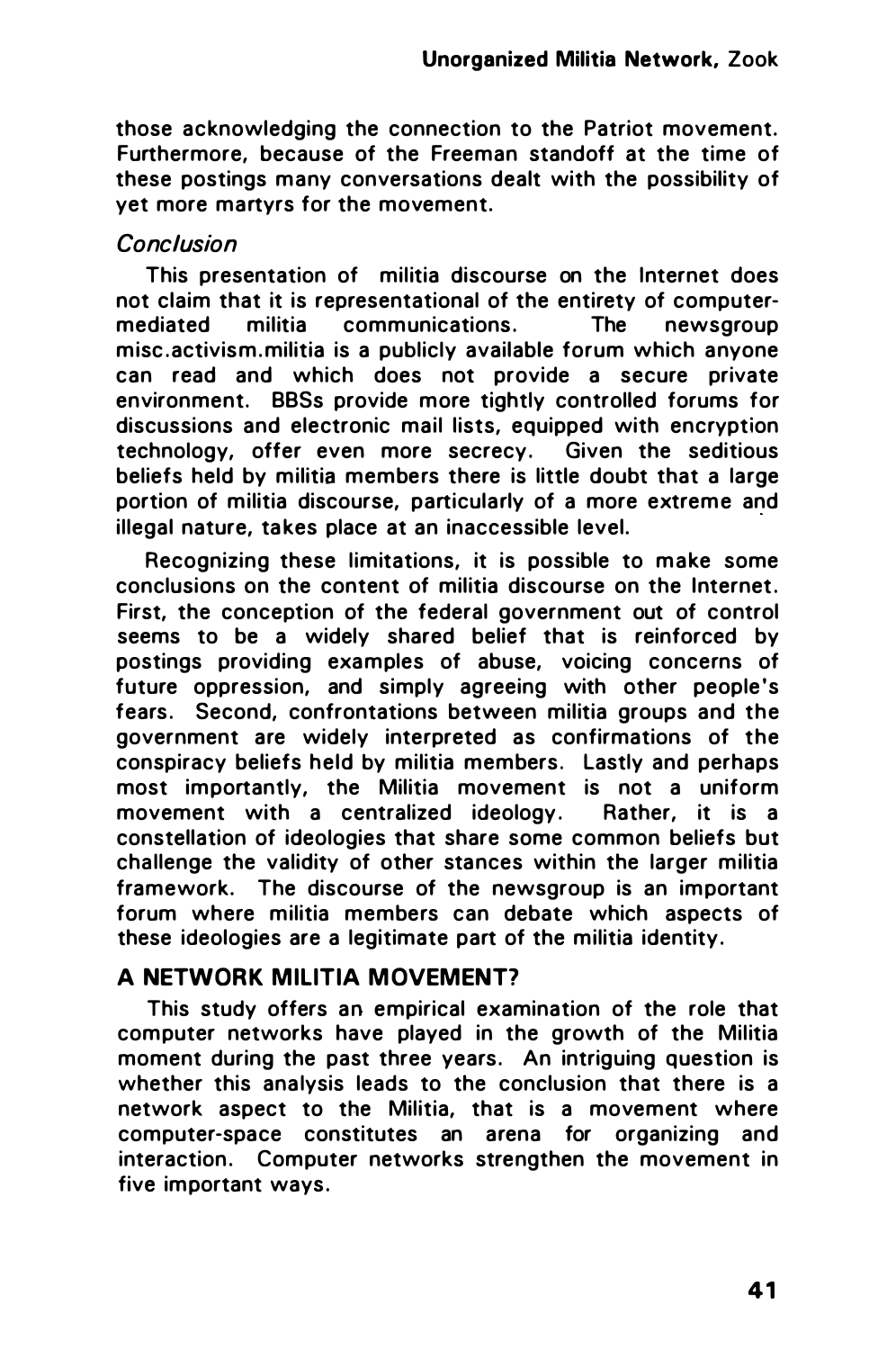those acknowledging the connection to the Patriot movement. Furthermore, because of the Freeman standoff at the time of these postings many conversations dealt with the possibility of yet more martyrs for the movement.

## Conclusion

This presentation of militia discourse on the Internet does not claim that it is representational of the entirety of computer-<br>mediated militia communications. The newsoroup mediated militia communications. The newsgroup misc . activism. militia is a publicly available forum which anyone can read and which does not provide a secure private environment. BBSs provide more tightly controlled forums for discussions and electronic mail lists, equipped with encryption technology, offer even more secrecy. Given the seditious beliefs held by militia members there is little doubt that a large portion of militia discourse, particularly of a more extreme and illegal nature, takes place at an inaccessible level.

Recognizing these limitations, it is possible to make some conclusions on the content of militia discourse on the Internet. First, the conception of the federal government out of control seems to be a widely shared belief that is reinforced by postings providing examples of abuse, voicing concerns of future oppression, and simply agreeing with other people's fears. Second, confrontations between militia groups and the government are widely interpreted as confirmations of the conspiracy beliefs held by militia members. Lastly and perhaps most importantly, the Militia movement is not a uniform movement with a centralized ideology. Rather, it is a constellation of ideologies that share some common beliefs but challenge the validity of other stances within the larger militia framework. The discourse of the newsgroup is an important forum where militia members can debate which aspects of these ideologies are a legitimate part of the militia identity.

## A NETWORK MILITIA MOVEMENT?

This study offers an empirical examination of the role that computer networks have played in the growth of the Militia moment during the past three years. An intriguing question is whether this analysis leads to the conclusion that there is a network aspect to the Militia, that is a movement where computer-space constitutes an arena for organizing and interaction. Computer networks strengthen the movement in five important ways.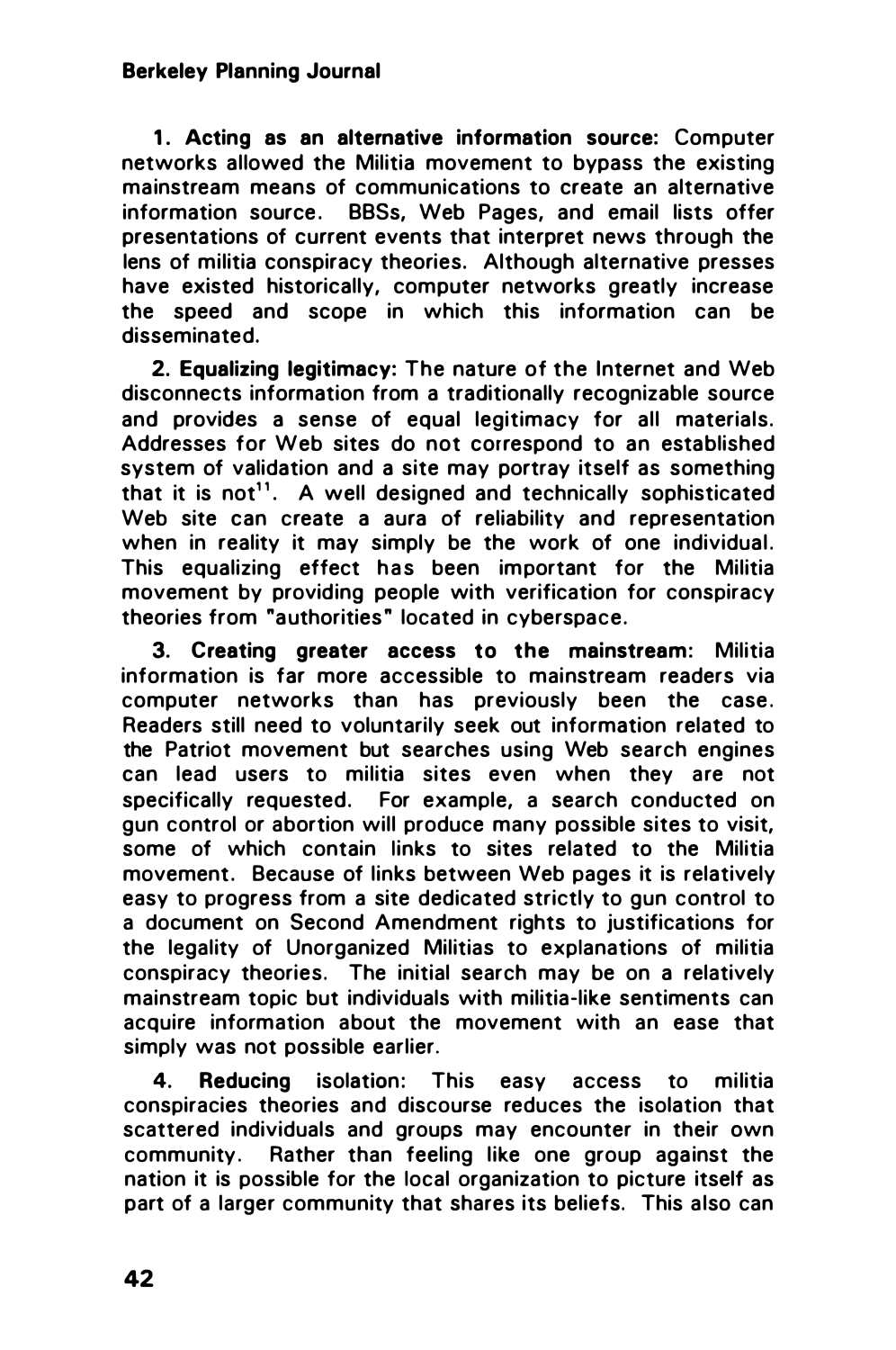1. Acting as an alternative information source: Computer networks allowed the Militia movement to bypass the existing mainstream means of communications to create an alternative information source. BBSs, Web Pages, and email lists offer presentations of current events that interpret news through the lens of militia conspiracy theories. Although alternative presses have existed historically, computer networks greatly increase the speed and scope in which this information can be disseminated.

2. Equalizing legitimacy: The nature of the Internet and Web disconnects information from a traditionally recognizable source and provides a sense of equal legitimacy for all materials. Addresses for Web sites do not correspond to an established system of validation and a site may portray itself as something that it is not<sup>11</sup>. A well designed and technically sophisticated Web site can create a aura of reliability and representation when in reality it may simply be the work of one individual. This equalizing effect has been important for the Militia movement by providing people with verification for conspiracy theories from "authorities" located in cyberspace.

3. Creating greater access to the mainstream: Militia information is far more accessible to mainstream readers via computer networks than has previously been the case. Readers still need to voluntarily seek out information related to the Patriot movement but searches using Web search engines can lead users to militia sites even when they are not specifically requested. For example, a search conducted on gun control or abortion will produce many possible sites to visit, some of which contain links to sites related to the Militia movement. Because of links between Web pages it is relatively easy to progress from a site dedicated strictly to gun control to a document on Second Amendment rights to justifications for the legality of Unorganized Militias to explanations of militia conspiracy theories. The initial search may be on a relatively mainstream topic but individuals with militia-like sentiments can acquire information about the movement with an ease that simply was not possible earlier.

4. Reducing isolation: This easy access to militia conspiracies theories and discourse reduces the isolation that scattered individuals and groups may encounter in their own community. Rather than feeling like one group against the nation it is possible for the local organization to picture itself as part of a larger community that shares its beliefs. This also can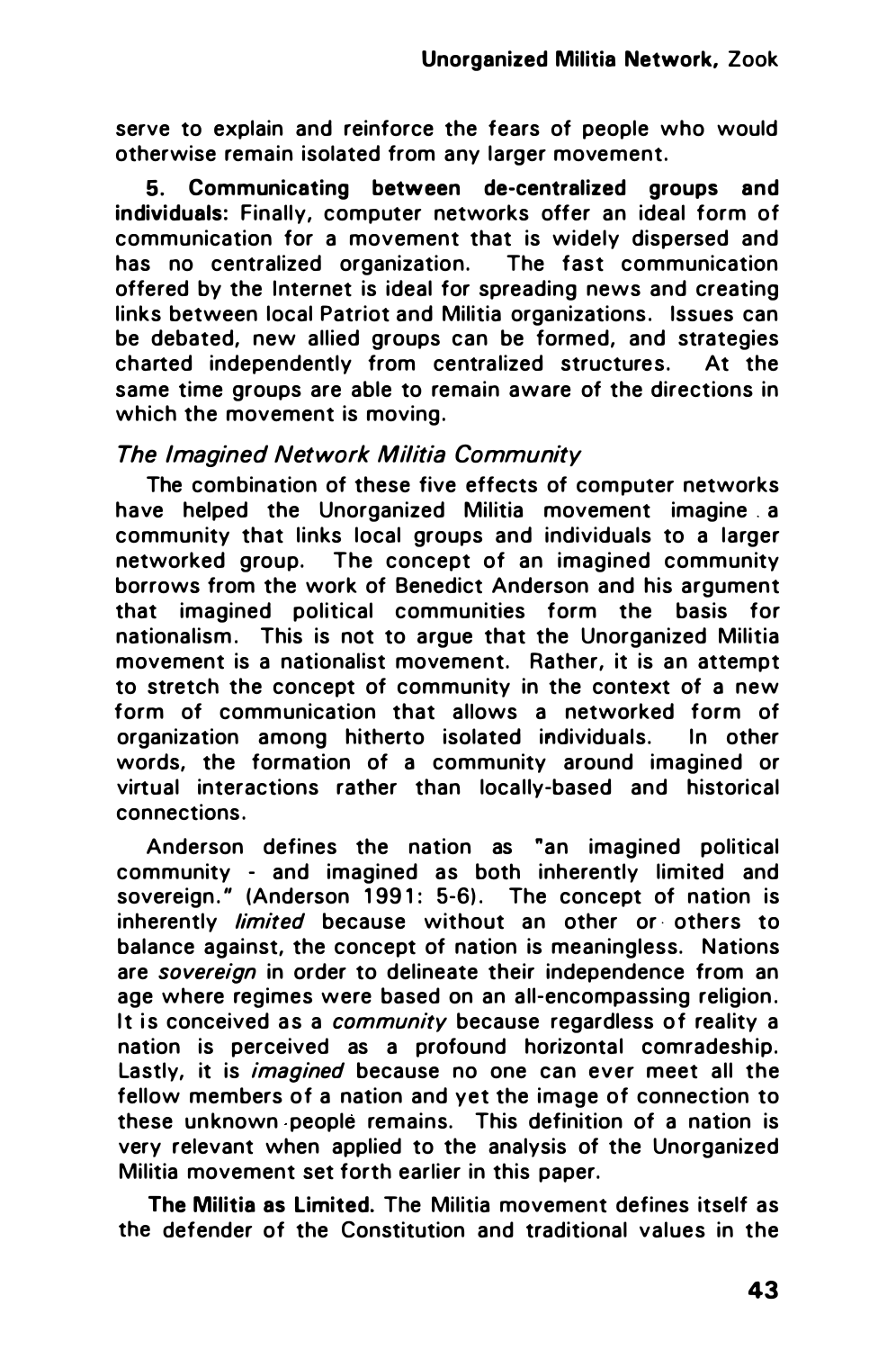serve to explain and reinforce the fears of people who would otherwise remain isolated from any larger movement.

5. Communicating between de-centralized groups and individuals: Finally, computer networks offer an ideal form of communication for a movement that is widely dispersed and has no centralized organization. The fast communication offered by the Internet is ideal for spreading news and creating links between local Patriot and Militia organizations. Issues can be debated, new allied groups can be formed, and strategies charted independently from centralized structures. At the same time groups are able to remain aware of the directions in which the movement is moving.

#### The Imagined Network Militia Community

The combination of these five effects of computer networks have helped the Unorganized Militia movement imagine . a community that links local groups and individuals to a larger networked group. The concept of an imagined community borrows from the work of Benedict Anderson and his argument that imagined political communities form the basis for nationalism. This is not to argue that the Unorganized Militia movement is a nationalist movement. Rather, it is an attempt to stretch the concept of community in the context of a new form of communication that allows a networked form of organization among hitherto isolated individuals. In other words, the formation of a community around imagined or virtual interactions rather than locally-based and historical connections .

Anderson defines the nation as "an imagined political community - and imagined as both inherently limited and sovereign." (Anderson 1991: 5-6). The concept of nation is inherently *limited* because without an other or others to balance against, the concept of nation is meaningless. Nations are sovereign in order to delineate their independence from an age where regimes were based on an all-encompassing religion. It is conceived as a *community* because regardless of reality a nation is perceived as a profound horizontal comradeship. Lastly, it is *imagined* because no one can ever meet all the fellow members of a nation and yet the image of connection to these unknown people remains. This definition of a nation is very relevant when applied to the analysis of the Unorganized Militia movement set forth earlier in this paper.

The Militia as Limited. The Militia movement defines itself as the defender of the Constitution and traditional values in the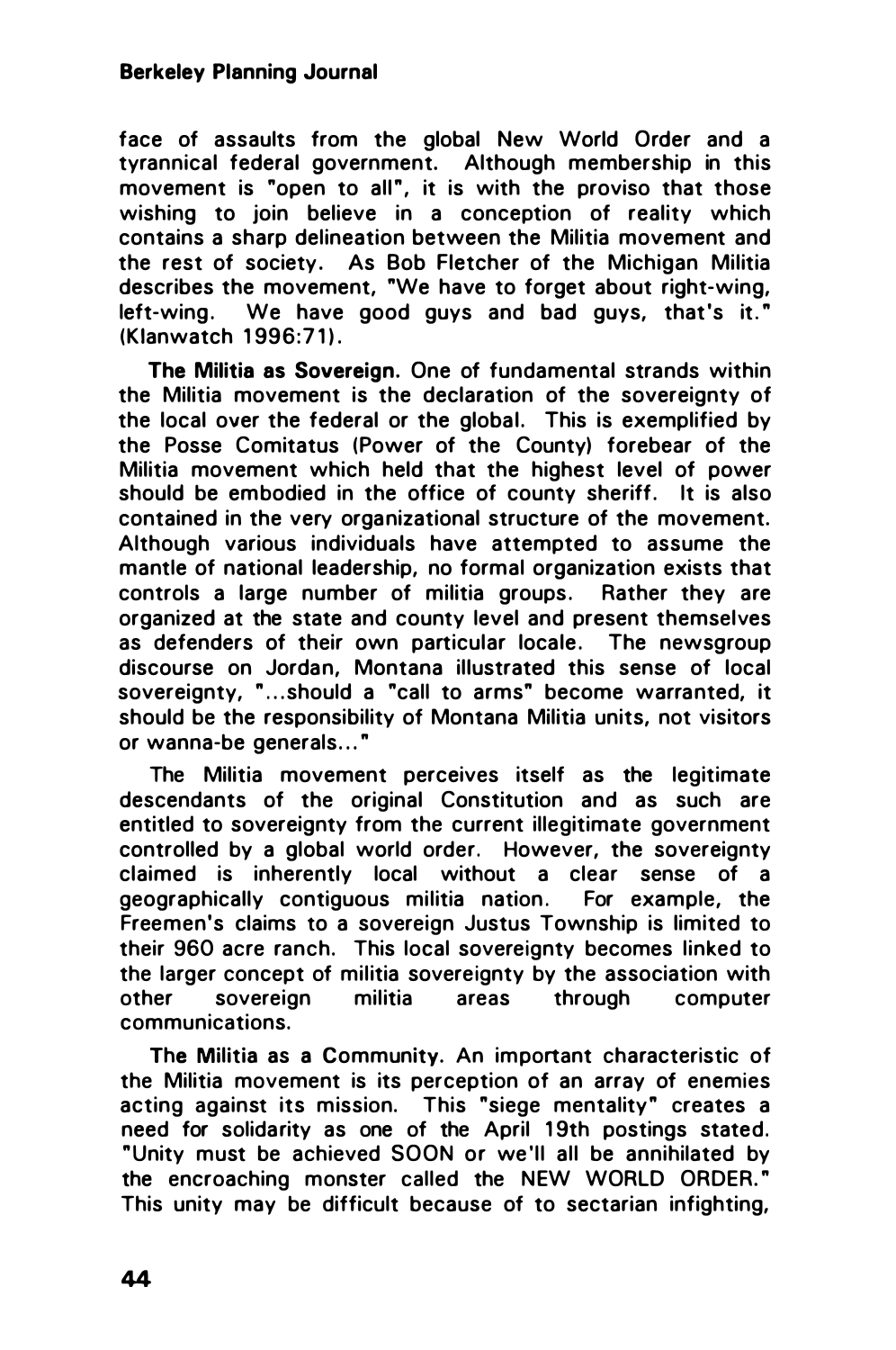face of assaults from the global New World Order and a tyrannical federal government. Although membership in this movement is "open to all", it is with the proviso that those wishing to join believe in a conception of reality which contains a sharp delineation between the Militia movement and the rest of society. As Bob Fletcher of the Michigan Militia describes the movement, "We have to forget about right-wing, left-wing. We have good guys and bad guys, that's it." (Klanwatch 1996:71).

The Militia as Sovereign. One of fundamental strands within the Militia movement is the declaration of the sovereignty of the local over the federal or the global. This is exemplified by the Posse Comitatus (Power of the County) forebear of the Militia movement which held that the highest level of power should be embodied in the office of county sheriff. It is also contained in the very organizational structure of the movement. Although various individuals have attempted to assume the mantle of national leadership, no formal organization exists that controls a large number of militia groups. Rather they are organized at the state and county level and present themselves as defenders of their own particular locale. The newsgroup discourse on Jordan, Montana illustrated this sense of local sovereignty, "...should a "call to arms" become warranted, it should be the responsibility of Montana Militia units, not visitors or wanna-be generals..."

The Militia movement perceives itself as the legitimate descendants of the original Constitution and as such are entitled to sovereignty from the current illegitimate government controlled by a global world order. However, the sovereignty claimed is inherently local without a clear sense of a geographically contiguous militia nation. For example, the Freemen's claims to a sovereign Justus Township is limited to their 960 acre ranch. This local sovereignty becomes linked to the larger concept of militia sovereignty by the association with other sovereign militia areas through computer communications.

The Militia as a Community. An important characteristic of the Militia movement is its perception of an array of enemies acting against its mission. This "siege mentality" creates a need for solidarity as one of the April 19th postings stated. " Unity must be achieved SOON or we 'll all be annihilated by the encroaching monster called the NEW WORLD ORDER." This unity may be difficult because of to sectarian infighting,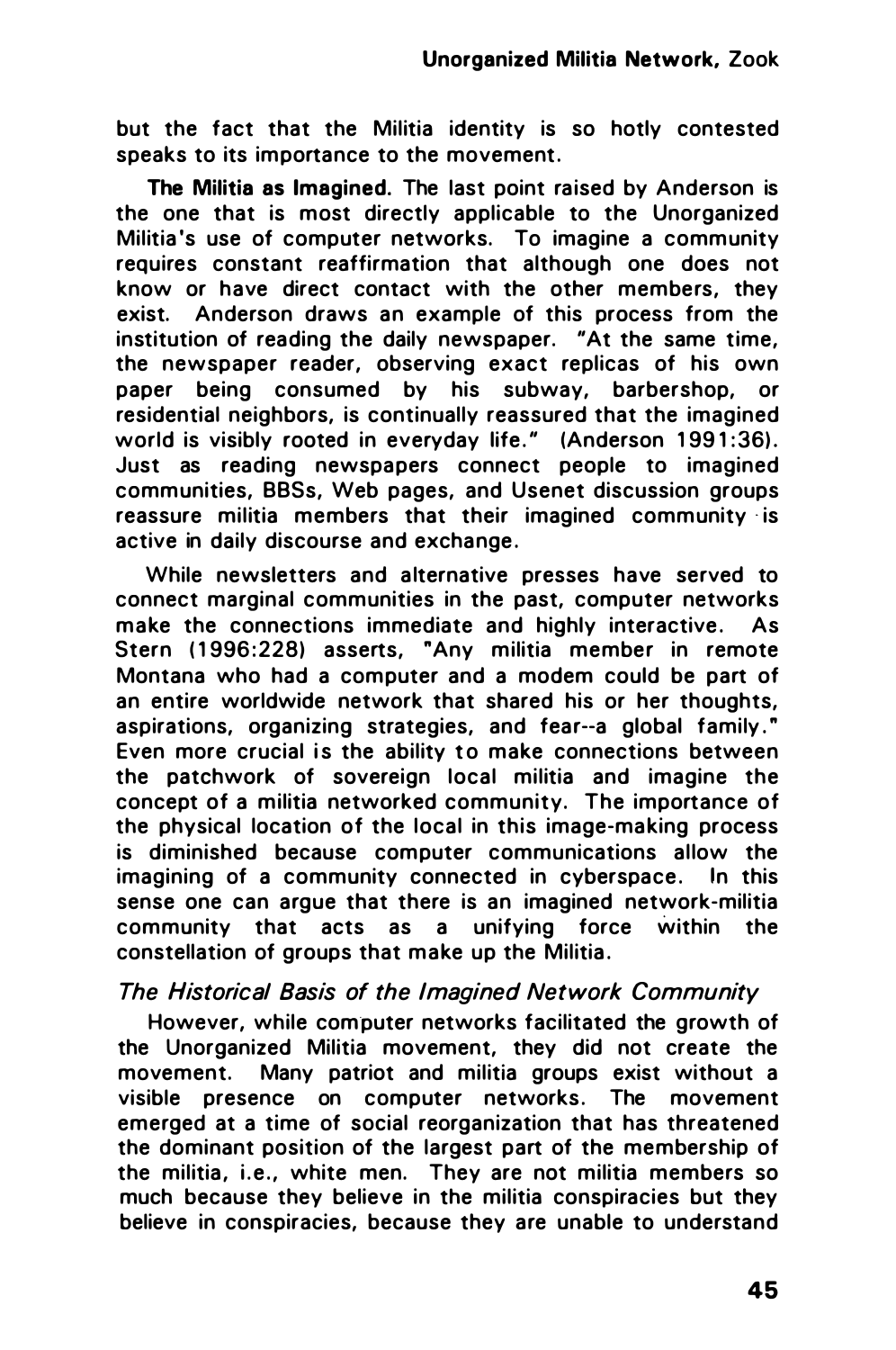but the fact that the Militia identity is so hotly contested speaks to its importance to the movement.

The Militia as Imagined. The last point raised by Anderson is the one that is most directly applicable to the Unorganized Militia 's use of computer networks. To imagine a community requires constant reaffirmation that although one does not know or have direct contact with the other members, they exist. Anderson draws an example of this process from the institution of reading the daily newspaper. "At the same time, the newspaper reader, observing exact replicas of his own paper being consumed by his subway, barbershop, or residential neighbors, is continually reassured that the imagined world is visibly rooted in everyday life." (Anderson 1991:36). Just as reading newspapers connect people to imagined communities, BBSs, Web pages, and Usenet discussion groups reassure militia members that their imagined community is active in daily discourse and exchange.

While newsletters and alternative presses have served to connect marginal communities in the past, computer networks make the connections immediate and highly interactive. As Stern (1996:228) asserts, "Any militia member in remote Montana who had a computer and a modem could be part of an entire worldwide network that shared his or her thoughts, aspirations, organizing strategies, and fear--a global family." Even more crucial is the ability to make connections between the patchwork of sovereign local militia and imagine the concept of a militia networked community. The importance of the physical location of the local in this image-making process is diminished because computer communications allow the imagining of a community connected in cyberspace. In this sense one can argue that there is an imagined network-militia community that acts as a unifying force within the constellation of groups that make up the Militia .

## The Historical Basis of the Imagined Network Community

However, while computer networks facilitated the growth of the Unorganized Militia movement, they did not create the movement. Many patriot and militia groups exist without a visible presence on computer networks . The movement emerged at a time of social reorganization that has threatened the dominant position of the largest part of the membership of the militia, i.e., white men. They are not militia members so much because they believe in the militia conspiracies but they believe in conspiracies, because they are unable to understand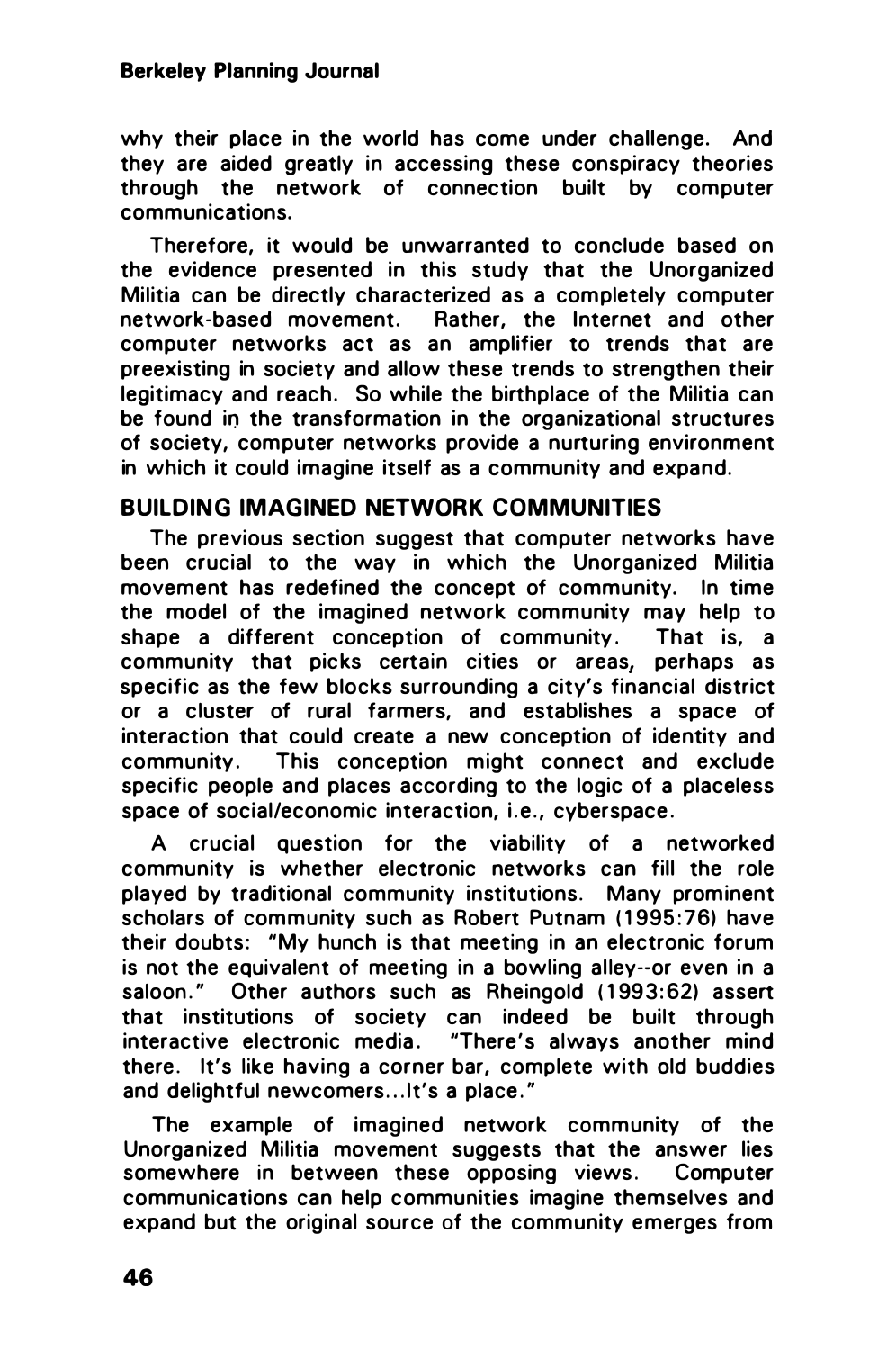#### Berkeley Planning Journal

why their place in the world has come under challenge. And they are aided greatly in accessing these conspiracy theories through the network of connection built by computer communications.

Therefore, it would be unwarranted to conclude based on the evidence presented in this study that the Unorganized Militia can be directly characterized as a completely computer network-based movement. Rather, the Internet and other computer networks act as an amplifier to trends that are preexisting in society and allow these trends to strengthen their legitimacy and reach. So while the birthplace of the Militia can be found in the transformation in the organizational structures of society, computer networks provide a nurturing environment in which it could imagine itself as a community and expand.

## BUILDING IMAGINED NETWORK COMMUNITIES

The previous section suggest that computer networks have been crucial to the way in which the Unorganized Militia movement has redefined the concept of community. In time the model of the imagined network community may help to shape a different conception of community. That is, a community that picks certain cities or areas, perhaps as specific as the few blocks surrounding a city's financial district or a cluster of rural farmers, and establishes a space of interaction that could create a new conception of identity and community. This conception might connect and exclude specific people and places according to the logic of a placeless space of social/economic interaction, i.e., cyberspace.

A crucial question for the viability of a networked community is whether electronic networks can fill the role played by traditional community institutions. Many prominent scholars of community such as Robert Putnam (1995:76) have their doubts: "My hunch is that meeting in an electronic forum is not the equivalent of meeting in a bowling alley--or even in a saloon." Other authors such as Rheingold (1993:62) assert that institutions of society can indeed be built through interactive electronic media . "There's always another mind there. It's like having a corner bar, complete with old buddies and delightful newcomers... It's a place."

The example of imagined network community of the Unorganized Militia movement suggests that the answer lies somewhere in between these opposing views. Computer communications can help communities imagine themselves and expand but the original source of the community emerges from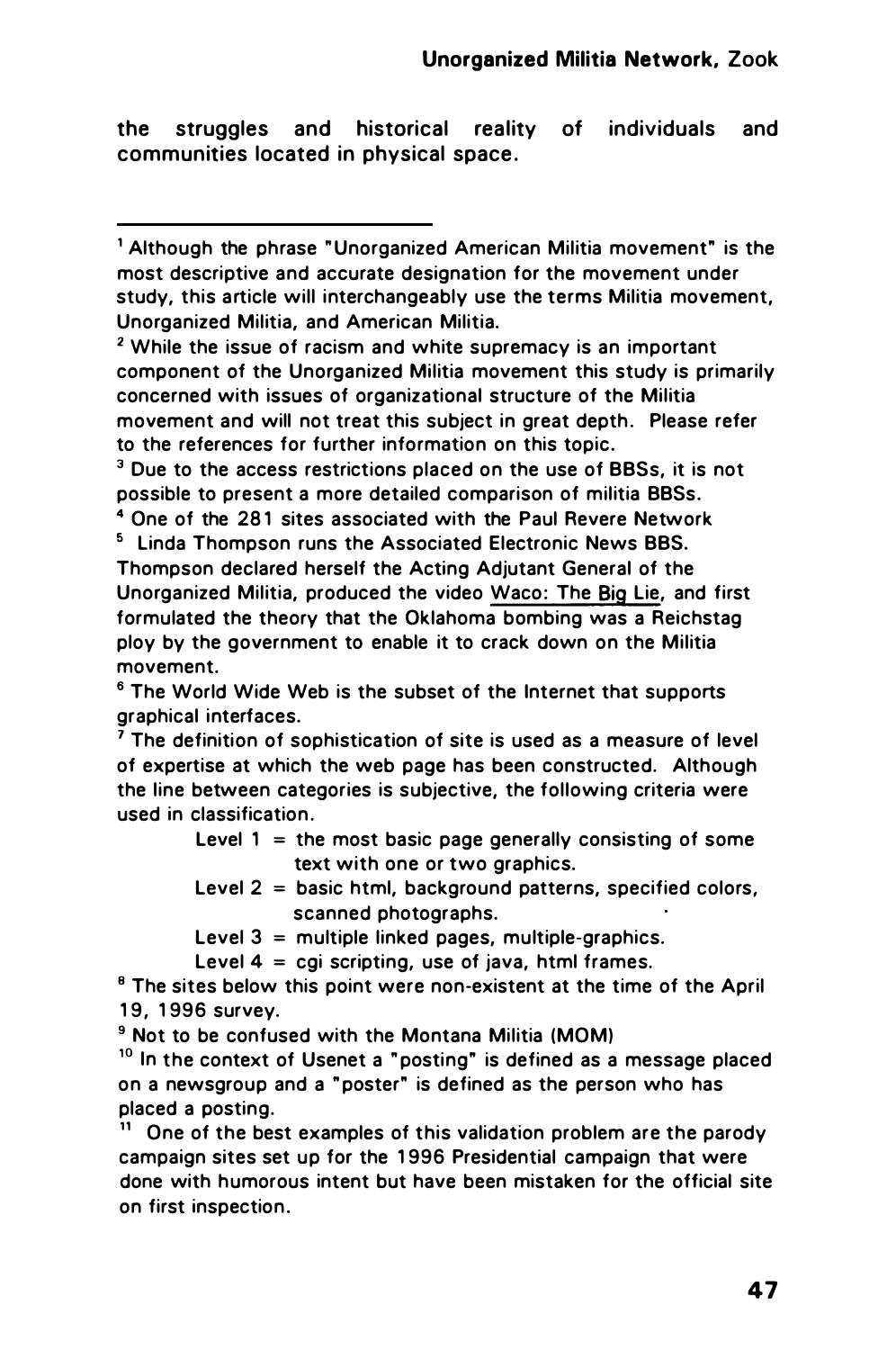the struggles and historical reality of individuals and communities located in physical space .

<sup>2</sup>While the issue of racism and white supremacy is an important component of the Unorganized Militia movement this study is primarily concerned with issues of organizational structure of the Militia movement and will not treat this subiect in great depth. Please refer to the references for further information on this topic.

 $3$  Due to the access restrictions placed on the use of BBSs, it is not possible to present a more detailed comparison of militia BBSs.

<sup>4</sup> One of the 281 sites associated with the Paul Revere Network • linda Thompson runs the Associated Electronic News BBS. Thompson declared herself the Acting Adjutant General of the Unorganized Militia, produced the video Waco: The Big Lie, and first formulated the theory that the Oklahoma bombing was a Reichstag ploy by the government to enable it to crack down on the Militia movement.

6 The World Wide Web is the subset of the Internet that supports graphical interfaces.

 $<sup>7</sup>$  The definition of sophistication of site is used as a measure of level</sup> of expertise at which the web page has been constructed. Although the line between categories is subjective. the following criteria were used in classification.

> Level  $1 =$  the most basic page generally consisting of some text with one or two graphics.

> Level 2 = basic html, background patterns, specified colors, scanned photographs.

Level  $3 =$  multiple linked pages, multiple-graphics.

Level  $4 = cai$  scripting, use of java, html frames.

 $<sup>8</sup>$  The sites below this point were non-existent at the time of the April</sup> 19, 1996 survey.

9 Not to be confused with the Montana Militia (MOM)

 $10$  In the context of Usenet a "posting" is defined as a message placed on a newsgroup and a " poster" is defined as the person who has placed a posting.

 $11$  One of the best examples of this validation problem are the parody campaign sites set up for the 1 996 Presidential campaign that were done with humorous intent but have been mistaken for the official site on first inspection.

<sup>&</sup>lt;sup>1</sup> Although the phrase " Unorganized American Militia movement" is the most descriptive and accurate designation for the movement under study, this article will interchangeably use the terms Militia movement, Unorganized Militia, and American Militia.